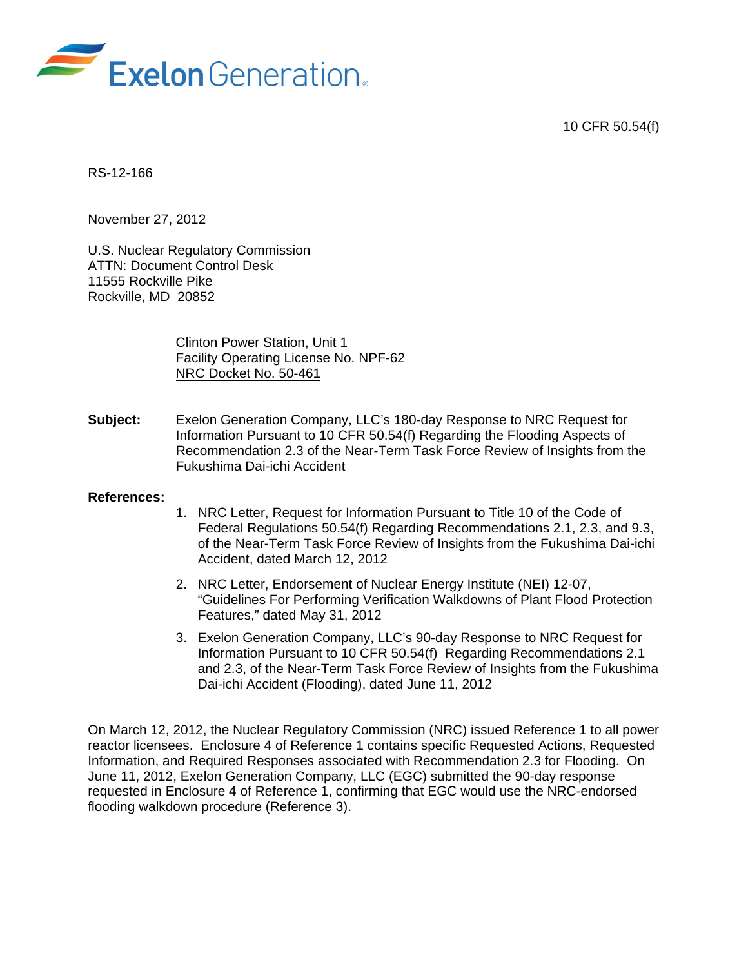10 CFR 50.54(f)



RS-12-166

November 27, 2012

U.S. Nuclear Regulatory Commission ATTN: Document Control Desk 11555 Rockville Pike Rockville, MD 20852

> Clinton Power Station, Unit 1 Facility Operating License No. NPF-62 NRC Docket No. 50-461

**Subject:** Exelon Generation Company, LLC's 180-day Response to NRC Request for Information Pursuant to 10 CFR 50.54(f) Regarding the Flooding Aspects of Recommendation 2.3 of the Near-Term Task Force Review of Insights from the Fukushima Dai-ichi Accident

#### **References:**

- 1. NRC Letter, Request for Information Pursuant to Title 10 of the Code of Federal Regulations 50.54(f) Regarding Recommendations 2.1, 2.3, and 9.3, of the Near-Term Task Force Review of Insights from the Fukushima Dai-ichi Accident, dated March 12, 2012
- 2. NRC Letter, Endorsement of Nuclear Energy Institute (NEI) 12-07, "Guidelines For Performing Verification Walkdowns of Plant Flood Protection Features," dated May 31, 2012
- 3. Exelon Generation Company, LLC's 90-day Response to NRC Request for Information Pursuant to 10 CFR 50.54(f) Regarding Recommendations 2.1 and 2.3, of the Near-Term Task Force Review of Insights from the Fukushima Dai-ichi Accident (Flooding), dated June 11, 2012

On March 12, 2012, the Nuclear Regulatory Commission (NRC) issued Reference 1 to all power reactor licensees. Enclosure 4 of Reference 1 contains specific Requested Actions, Requested Information, and Required Responses associated with Recommendation 2.3 for Flooding. On June 11, 2012, Exelon Generation Company, LLC (EGC) submitted the 90-day response requested in Enclosure 4 of Reference 1, confirming that EGC would use the NRC-endorsed flooding walkdown procedure (Reference 3).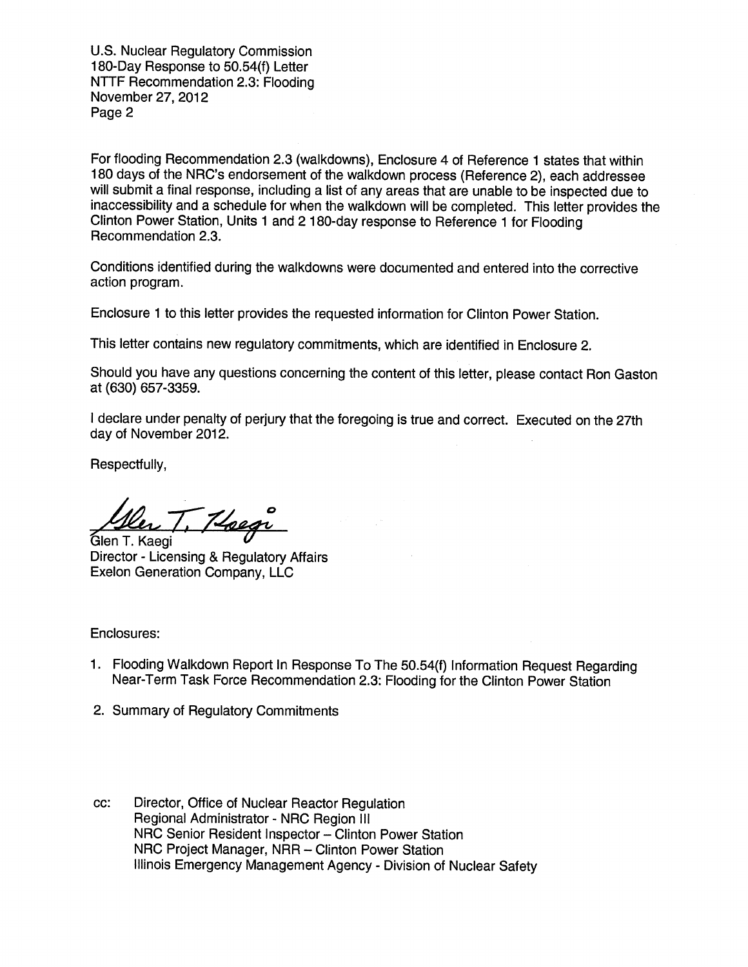U.S. Nuclear Regulatory Commission U.S. Nuclear Regulatory Commission 180-Day Response to 50.54(f) Letter 180-Day Response to 50.54(f) Letter NTTF Recommendation 2.3: Flooding NTTF Recommendation 2.3: Flooding November 27, 2012 November 27, 2012 Page 2 Page 2

For flooding Recommendation 2.3 (walkdowns), Enclosure 4 of Reference 1 states that within For flooding Recommendation 2.3 (walkdowns), Enclosure 4 of Reference 1 states that within 180 days of the NRC's endorsement of the walkdown process (Reference 2), each addressee 180 days of the NRC's endorsement of the walkdown process (Reference 2), each addressee will submit a final response, including a list of any areas that are unable to be inspected due to will submit a final response, including a list of any areas that are unable to be inspected due to inaccessibility and a schedule for when the walkdown will be completed. This letter provides the inaccessibility and a schedule for when the walkdown will be completed. This letter provides the Clinton Power Station, Units 1 and 2 180-day response to Reference 1 for Flooding Clinton Power Station, Units 1 and 2 180-day response to Reference 1 for Flooding Recommendation 2.3. Recommendation 2.3.

Conditions identified during the walkdowns were documented and entered into the corrective Conditions identified during the walkdowns were documented and entered into the corrective action program. action program.

Enclosure 1 to this letter provides the requested information for Clinton Power Station. Enclosure 1 to this letter provides the requested information for Clinton Power Station.

This letter contains new regulatory commitments, which are identified in Enclosure 2.

This letter contains new regulatory commitments, which are identified in Enclosure 2.<br>Should you have any questions concerning the content of this letter, please contact Ron Gaston at (630) 657-3359. at (630) 657-3359.

I declare under penalty of perjury that the foregoing is true and correct. Executed on the 27th I declare under penalty of perjury that the foregoing is true and correct. Executed on the 27th day of November 2012. day of November 2012.

Respectfully, Respectfully,

Glen T. Kaegi <u>Hoegi</u>

**Director - Licensing & Regulatory Affairs** Director - Licensing & Regulatory Affairs **Exelon Generation** Company, LLC Exelon Generation Company, LLC

Enclosures: Enclosures:

- **1. Flooding Walkdown Report In Response** To The 50.54(**f) Information Request Regarding** 1. Flooding Walkdown Report In Response To The 50.54(f) Information Request Regarding **Near**-Term **Task Force Recommendation 2.3: Flooding for the Clinton Power Station** Near-Term Task Force Recommendation 2.3: Flooding for the Clinton Power Station
- 2. Summary of Regulatory Commitments 2. Summary of Regulatory Commitments
- cc: Director, Office of Nuclear Reactor Regulation cc: Director, Office of Nuclear Reactor Regulation Regional Administrator - NRC Region III Regional Administrator - NRC Region III NRC Senior Resident Inspector - Clinton Power Station NRC Project Manager, NRR - Clinton Power Station NRC Project Manager, NRR - Clinton Power Station Illinois Emergency Management Agency - Division of Nuclear Safety Illinois Emergency Management Agency - Division of Nuclear Safety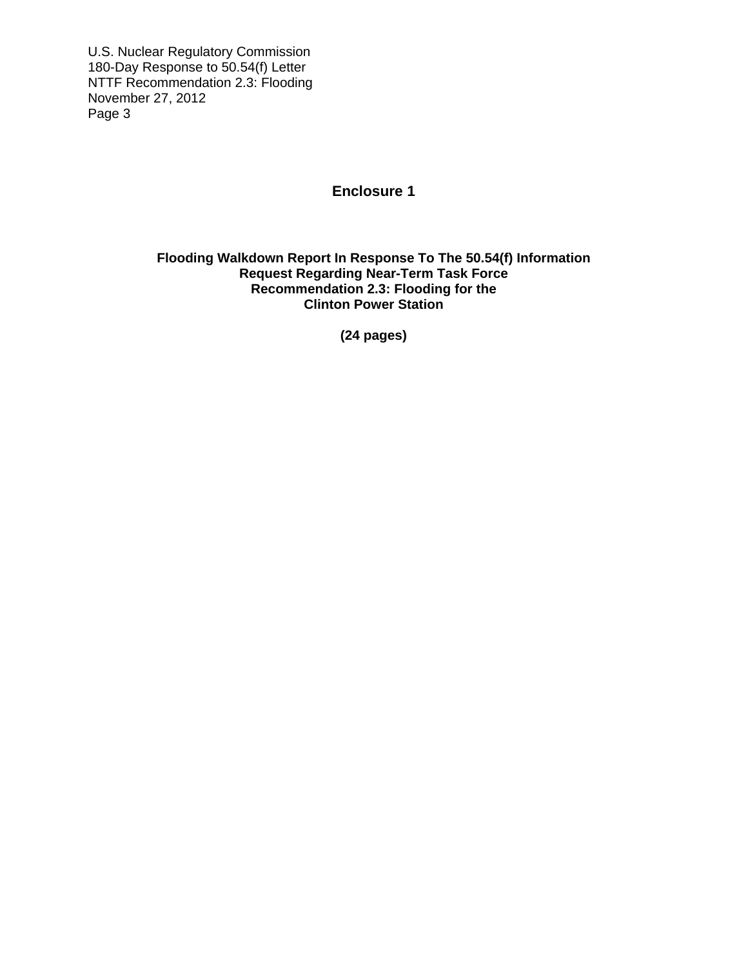U.S. Nuclear Regulatory Commission 180-Day Response to 50.54(f) Letter NTTF Recommendation 2.3: Flooding November 27, 2012 Page 3

## **Enclosure 1**

## **Flooding Walkdown Report In Response To The 50.54(f) Information Request Regarding Near-Term Task Force Recommendation 2.3: Flooding for the Clinton Power Station**

**(24 pages)**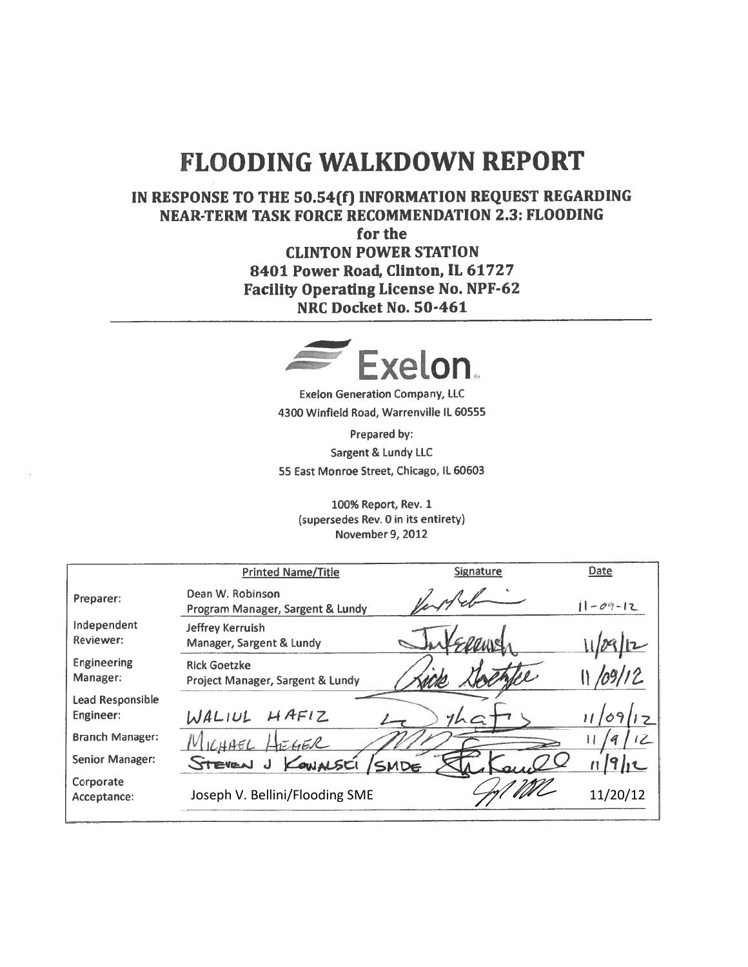# FLOODING WALKDOWN REPORT **FLOODING WALKDOWN REPORT**

IN RESPONSE TO THE 50.54(f) INFORMATION REQUEST REGARDING IN RESPONSE TO THE 50.54(f) INFORMATION REQUEST REGARDING NEAR-TERM TASK FORCE RECOMMENDATION 2.3: FLOODING NEAR-TERM TASK FORCE RECOMMENDATION 2.3: FLOODING

for the for the CLINTON POWER STATION CLINTON POWER STATION 8401 Power Road, Clinton, IL 61727 8401 Power Road, Clinton, IL 61727 Facility Operating License No. NPF-62 Facility Operating License No. NPF-62 NRC Docket No. 50-461 NRC Docket No. 50-461 **DING WALKDOWN R**<br> **DTHE 50.54(f) INFORMATION REQ**<br> **EXECUTE TASK FORCE RECOMMENDATION 2**<br>
for the<br>
CLINTON POWER STATION<br>
8401 Power Road, Clinton, IL 6172<br>
Facility Operating License No. NPF-<br>
NRC Docket No. 50-461<br>
FREE



Exelon Generation Company, LLC Exelon Generation Company, LLC 4300 Winfield Road, Warrenville IL 60555 4300 Winfield Road, Warrenville IL 60555

Prepared by; Prepared by: Sargent & Lundy LLC Sargent & Lundy LLC 55 East Monroe Street, Chicago, IL 60603 55 East Monroe Street, Chicago, IL 60603

> 100% Report, Rev. 1 100% Report, Rev. 1 (supersedes Rev. 0 in its entirety) (supersedes Rev. 0 in its entirety) November 9, 2012 November 9,2012

|                                      | <b>Printed Name/Title</b>                               | <b>Signature</b> | Date           |
|--------------------------------------|---------------------------------------------------------|------------------|----------------|
| Preparer:                            | Dean W. Robinson<br>Program Manager, Sargent & Lundy    |                  | $11 - 09 - 12$ |
| Independent<br>Reviewer:             | Jeffrey Kerruish<br>Manager, Sargent & Lundy            |                  |                |
| <b>Engineering</b><br>Manager:       | <b>Rick Goetzke</b><br>Project Manager, Sargent & Lundy |                  |                |
| <b>Lead Responsible</b><br>Engineer: | HAFIZ<br>WALIUL                                         | 7h               |                |
| <b>Branch Manager:</b>               | ICHACH<br>$H = 45R$                                     |                  |                |
| <b>Senior Manager:</b>               | STEVEN J KOWALSKI                                       | SMDE             |                |
| Corporate<br>Acceptance:             | Joseph V. Bellini/Flooding SME                          |                  | 11/20/12       |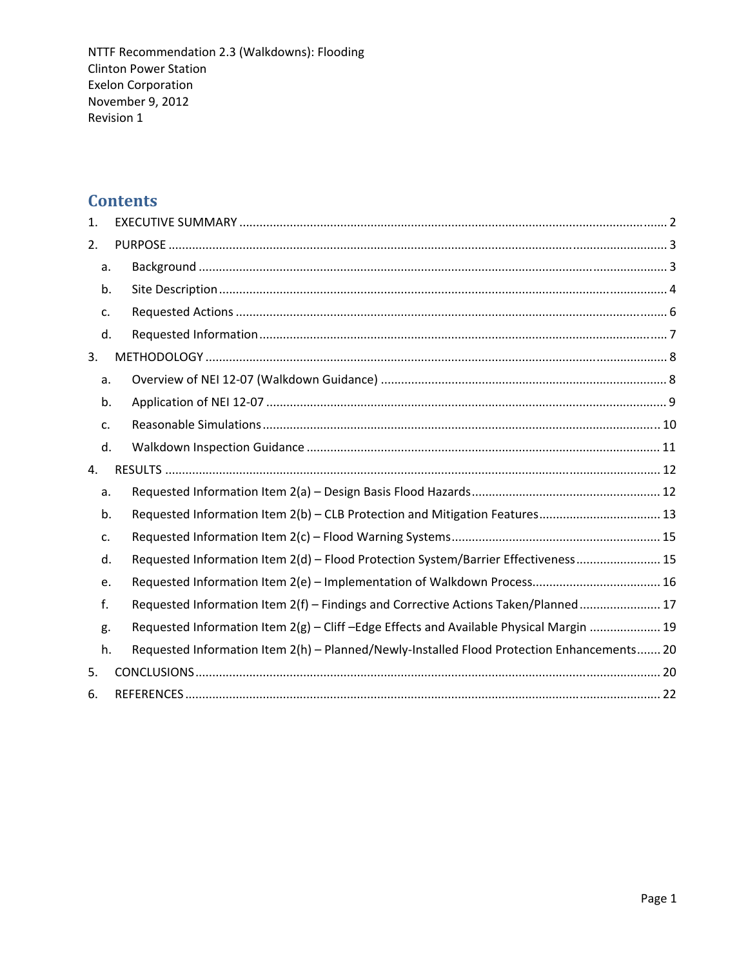# **Contents**

| 1. |    |                                                                                            |  |
|----|----|--------------------------------------------------------------------------------------------|--|
| 2. |    |                                                                                            |  |
|    | a. |                                                                                            |  |
|    | b. |                                                                                            |  |
|    | c. |                                                                                            |  |
|    | d. |                                                                                            |  |
| 3. |    |                                                                                            |  |
|    | a. |                                                                                            |  |
|    | b. |                                                                                            |  |
|    | c. |                                                                                            |  |
|    | d. |                                                                                            |  |
| 4. |    |                                                                                            |  |
|    | a. |                                                                                            |  |
|    | b. | Requested Information Item 2(b) - CLB Protection and Mitigation Features 13                |  |
|    | c. |                                                                                            |  |
|    | d. | Requested Information Item 2(d) - Flood Protection System/Barrier Effectiveness 15         |  |
|    | e. |                                                                                            |  |
|    | f. | Requested Information Item 2(f) - Findings and Corrective Actions Taken/Planned 17         |  |
|    | g. | Requested Information Item 2(g) - Cliff -Edge Effects and Available Physical Margin  19    |  |
|    | h. | Requested Information Item 2(h) - Planned/Newly-Installed Flood Protection Enhancements 20 |  |
| 5. |    |                                                                                            |  |
| 6. |    |                                                                                            |  |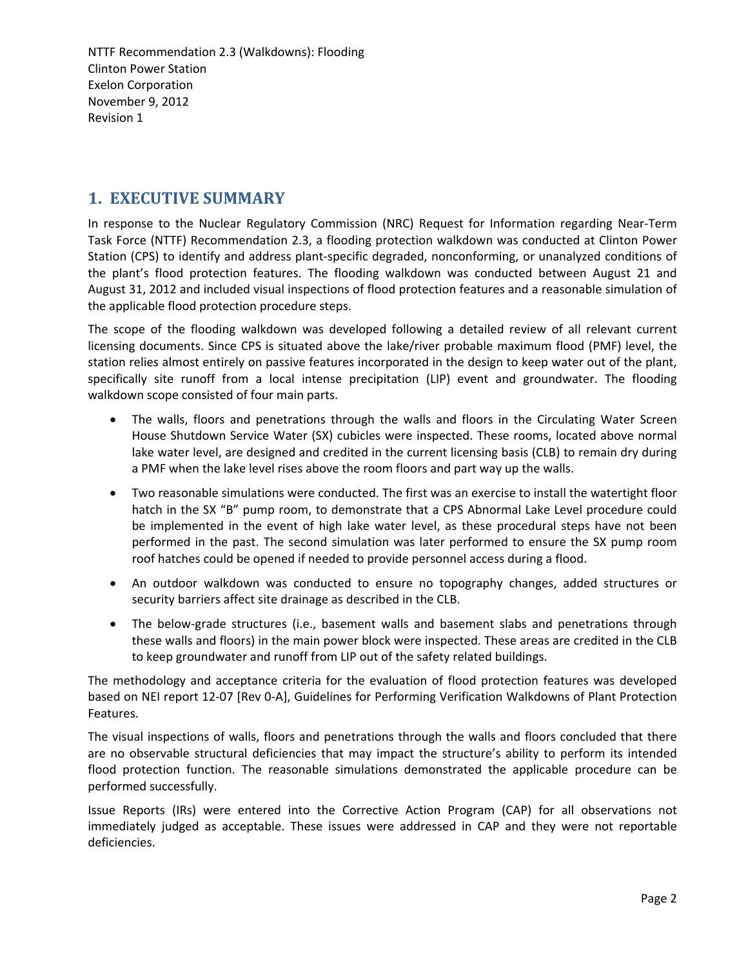# **1. EXECUTIVE SUMMARY**

In response to the Nuclear Regulatory Commission (NRC) Request for Information regarding Near‐Term Task Force (NTTF) Recommendation 2.3, a flooding protection walkdown was conducted at Clinton Power Station (CPS) to identify and address plant‐specific degraded, nonconforming, or unanalyzed conditions of the plant's flood protection features. The flooding walkdown was conducted between August 21 and August 31, 2012 and included visual inspections of flood protection features and a reasonable simulation of the applicable flood protection procedure steps.

The scope of the flooding walkdown was developed following a detailed review of all relevant current licensing documents. Since CPS is situated above the lake/river probable maximum flood (PMF) level, the station relies almost entirely on passive features incorporated in the design to keep water out of the plant, specifically site runoff from a local intense precipitation (LIP) event and groundwater. The flooding walkdown scope consisted of four main parts.

- The walls, floors and penetrations through the walls and floors in the Circulating Water Screen House Shutdown Service Water (SX) cubicles were inspected. These rooms, located above normal lake water level, are designed and credited in the current licensing basis (CLB) to remain dry during a PMF when the lake level rises above the room floors and part way up the walls.
- Two reasonable simulations were conducted. The first was an exercise to install the watertight floor hatch in the SX "B" pump room, to demonstrate that a CPS Abnormal Lake Level procedure could be implemented in the event of high lake water level, as these procedural steps have not been performed in the past. The second simulation was later performed to ensure the SX pump room roof hatches could be opened if needed to provide personnel access during a flood.
- An outdoor walkdown was conducted to ensure no topography changes, added structures or security barriers affect site drainage as described in the CLB.
- The below-grade structures (i.e., basement walls and basement slabs and penetrations through these walls and floors) in the main power block were inspected. These areas are credited in the CLB to keep groundwater and runoff from LIP out of the safety related buildings.

The methodology and acceptance criteria for the evaluation of flood protection features was developed based on NEI report 12‐07 [Rev 0‐A], Guidelines for Performing Verification Walkdowns of Plant Protection Features.

The visual inspections of walls, floors and penetrations through the walls and floors concluded that there are no observable structural deficiencies that may impact the structure's ability to perform its intended flood protection function. The reasonable simulations demonstrated the applicable procedure can be performed successfully.

Issue Reports (IRs) were entered into the Corrective Action Program (CAP) for all observations not immediately judged as acceptable. These issues were addressed in CAP and they were not reportable deficiencies.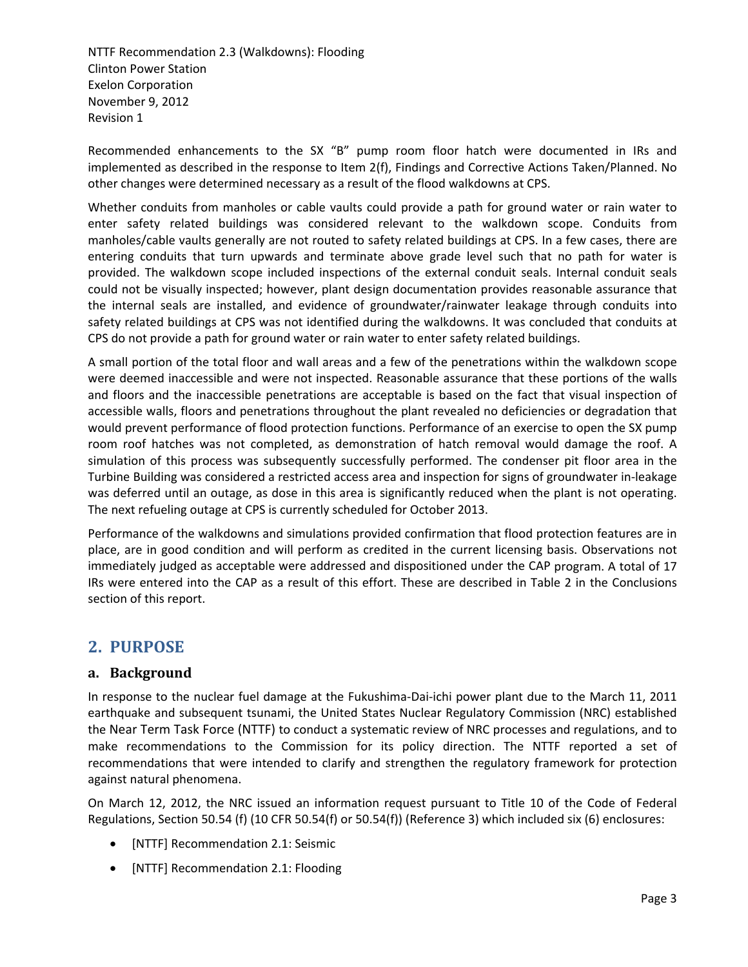Recommended enhancements to the SX "B" pump room floor hatch were documented in IRs and implemented as described in the response to Item 2(f), Findings and Corrective Actions Taken/Planned. No other changes were determined necessary as a result of the flood walkdowns at CPS.

Whether conduits from manholes or cable vaults could provide a path for ground water or rain water to enter safety related buildings was considered relevant to the walkdown scope. Conduits from manholes/cable vaults generally are not routed to safety related buildings at CPS. In a few cases, there are entering conduits that turn upwards and terminate above grade level such that no path for water is provided. The walkdown scope included inspections of the external conduit seals. Internal conduit seals could not be visually inspected; however, plant design documentation provides reasonable assurance that the internal seals are installed, and evidence of groundwater/rainwater leakage through conduits into safety related buildings at CPS was not identified during the walkdowns. It was concluded that conduits at CPS do not provide a path for ground water or rain water to enter safety related buildings.

A small portion of the total floor and wall areas and a few of the penetrations within the walkdown scope were deemed inaccessible and were not inspected. Reasonable assurance that these portions of the walls and floors and the inaccessible penetrations are acceptable is based on the fact that visual inspection of accessible walls, floors and penetrations throughout the plant revealed no deficiencies or degradation that would prevent performance of flood protection functions. Performance of an exercise to open the SX pump room roof hatches was not completed, as demonstration of hatch removal would damage the roof. A simulation of this process was subsequently successfully performed. The condenser pit floor area in the Turbine Building was considered a restricted access area and inspection for signs of groundwater in‐leakage was deferred until an outage, as dose in this area is significantly reduced when the plant is not operating. The next refueling outage at CPS is currently scheduled for October 2013.

Performance of the walkdowns and simulations provided confirmation that flood protection features are in place, are in good condition and will perform as credited in the current licensing basis. Observations not immediately judged as acceptable were addressed and dispositioned under the CAP program. A total of 17 IRs were entered into the CAP as a result of this effort. These are described in Table 2 in the Conclusions section of this report.

# **2. PURPOSE**

## **a. Background**

In response to the nuclear fuel damage at the Fukushima‐Dai‐ichi power plant due to the March 11, 2011 earthquake and subsequent tsunami, the United States Nuclear Regulatory Commission (NRC) established the Near Term Task Force (NTTF) to conduct a systematic review of NRC processes and regulations, and to make recommendations to the Commission for its policy direction. The NTTF reported a set of recommendations that were intended to clarify and strengthen the regulatory framework for protection against natural phenomena.

On March 12, 2012, the NRC issued an information request pursuant to Title 10 of the Code of Federal Regulations, Section 50.54 (f) (10 CFR 50.54(f) or 50.54(f)) (Reference 3) which included six (6) enclosures:

- [NTTF] Recommendation 2.1: Seismic
- [NTTF] Recommendation 2.1: Flooding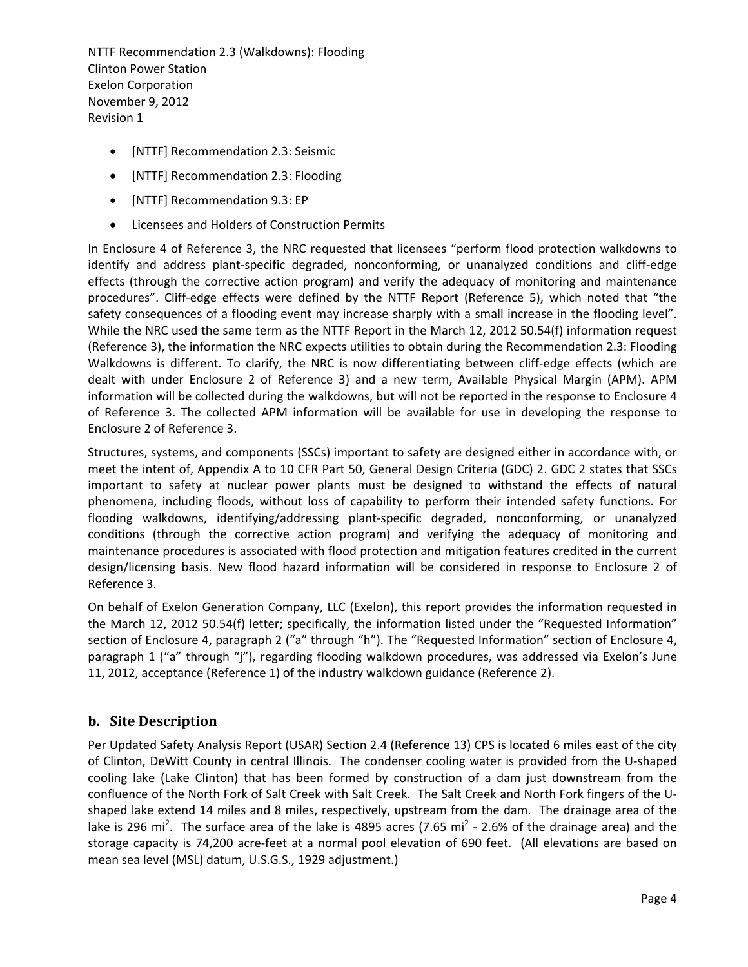- [NTTF] Recommendation 2.3: Seismic
- [NTTF] Recommendation 2.3: Flooding
- [NTTF] Recommendation 9.3: EP
- Licensees and Holders of Construction Permits

In Enclosure 4 of Reference 3, the NRC requested that licensees "perform flood protection walkdowns to identify and address plant‐specific degraded, nonconforming, or unanalyzed conditions and cliff‐edge effects (through the corrective action program) and verify the adequacy of monitoring and maintenance procedures". Cliff-edge effects were defined by the NTTF Report (Reference 5), which noted that "the safety consequences of a flooding event may increase sharply with a small increase in the flooding level". While the NRC used the same term as the NTTF Report in the March 12, 2012 50.54(f) information request (Reference 3), the information the NRC expects utilities to obtain during the Recommendation 2.3: Flooding Walkdowns is different. To clarify, the NRC is now differentiating between cliff-edge effects (which are dealt with under Enclosure 2 of Reference 3) and a new term, Available Physical Margin (APM). APM information will be collected during the walkdowns, but will not be reported in the response to Enclosure 4 of Reference 3. The collected APM information will be available for use in developing the response to Enclosure 2 of Reference 3.

Structures, systems, and components (SSCs) important to safety are designed either in accordance with, or meet the intent of, Appendix A to 10 CFR Part 50, General Design Criteria (GDC) 2. GDC 2 states that SSCs important to safety at nuclear power plants must be designed to withstand the effects of natural phenomena, including floods, without loss of capability to perform their intended safety functions. For flooding walkdowns, identifying/addressing plant‐specific degraded, nonconforming, or unanalyzed conditions (through the corrective action program) and verifying the adequacy of monitoring and maintenance procedures is associated with flood protection and mitigation features credited in the current design/licensing basis. New flood hazard information will be considered in response to Enclosure 2 of Reference 3.

On behalf of Exelon Generation Company, LLC (Exelon), this report provides the information requested in the March 12, 2012 50.54(f) letter; specifically, the information listed under the "Requested Information" section of Enclosure 4, paragraph 2 ("a" through "h"). The "Requested Information" section of Enclosure 4, paragraph 1 ("a" through "j"), regarding flooding walkdown procedures, was addressed via Exelon's June 11, 2012, acceptance (Reference 1) of the industry walkdown guidance (Reference 2).

## **b. Site Description**

Per Updated Safety Analysis Report (USAR) Section 2.4 (Reference 13) CPS is located 6 miles east of the city of Clinton, DeWitt County in central Illinois. The condenser cooling water is provided from the U‐shaped cooling lake (Lake Clinton) that has been formed by construction of a dam just downstream from the confluence of the North Fork of Salt Creek with Salt Creek. The Salt Creek and North Fork fingers of the U‐ shaped lake extend 14 miles and 8 miles, respectively, upstream from the dam. The drainage area of the lake is 296 mi<sup>2</sup>. The surface area of the lake is 4895 acres (7.65 mi<sup>2</sup> - 2.6% of the drainage area) and the storage capacity is 74,200 acre-feet at a normal pool elevation of 690 feet. (All elevations are based on mean sea level (MSL) datum, U.S.G.S., 1929 adjustment.)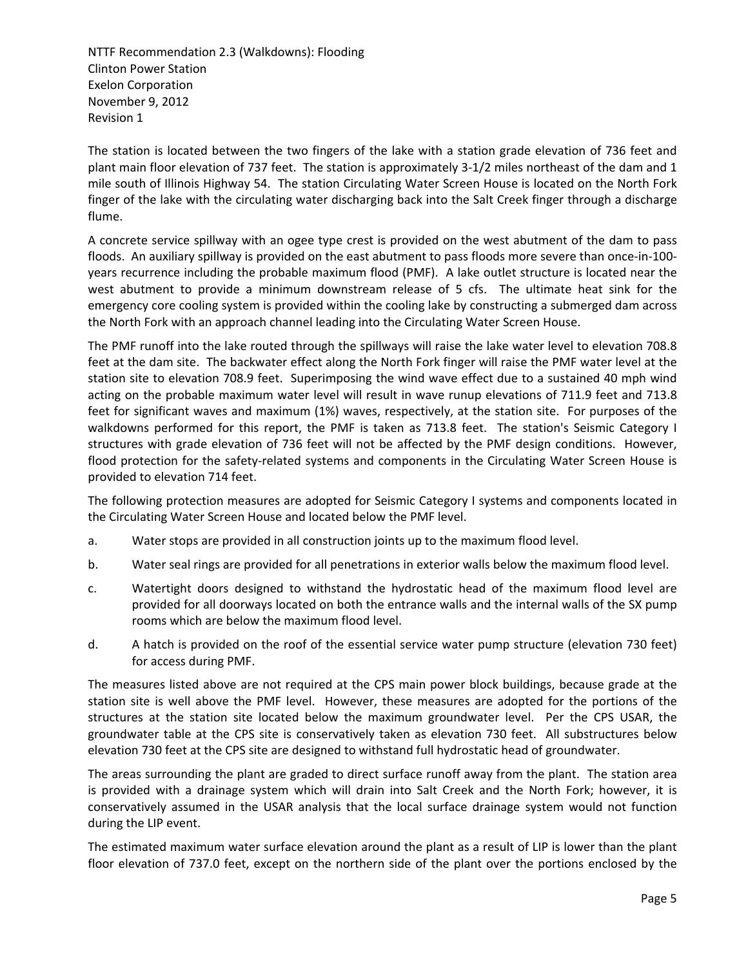The station is located between the two fingers of the lake with a station grade elevation of 736 feet and plant main floor elevation of 737 feet. The station is approximately 3‐1/2 miles northeast of the dam and 1 mile south of Illinois Highway 54. The station Circulating Water Screen House is located on the North Fork finger of the lake with the circulating water discharging back into the Salt Creek finger through a discharge flume.

A concrete service spillway with an ogee type crest is provided on the west abutment of the dam to pass floods. An auxiliary spillway is provided on the east abutment to pass floods more severe than once-in-100years recurrence including the probable maximum flood (PMF). A lake outlet structure is located near the west abutment to provide a minimum downstream release of 5 cfs. The ultimate heat sink for the emergency core cooling system is provided within the cooling lake by constructing a submerged dam across the North Fork with an approach channel leading into the Circulating Water Screen House.

The PMF runoff into the lake routed through the spillways will raise the lake water level to elevation 708.8 feet at the dam site. The backwater effect along the North Fork finger will raise the PMF water level at the station site to elevation 708.9 feet. Superimposing the wind wave effect due to a sustained 40 mph wind acting on the probable maximum water level will result in wave runup elevations of 711.9 feet and 713.8 feet for significant waves and maximum (1%) waves, respectively, at the station site. For purposes of the walkdowns performed for this report, the PMF is taken as 713.8 feet. The station's Seismic Category I structures with grade elevation of 736 feet will not be affected by the PMF design conditions. However, flood protection for the safety‐related systems and components in the Circulating Water Screen House is provided to elevation 714 feet.

The following protection measures are adopted for Seismic Category I systems and components located in the Circulating Water Screen House and located below the PMF level.

- a. Water stops are provided in all construction joints up to the maximum flood level.
- b. Water seal rings are provided for all penetrations in exterior walls below the maximum flood level.
- c. Watertight doors designed to withstand the hydrostatic head of the maximum flood level are provided for all doorways located on both the entrance walls and the internal walls of the SX pump rooms which are below the maximum flood level.
- d. A hatch is provided on the roof of the essential service water pump structure (elevation 730 feet) for access during PMF.

The measures listed above are not required at the CPS main power block buildings, because grade at the station site is well above the PMF level. However, these measures are adopted for the portions of the structures at the station site located below the maximum groundwater level. Per the CPS USAR, the groundwater table at the CPS site is conservatively taken as elevation 730 feet. All substructures below elevation 730 feet at the CPS site are designed to withstand full hydrostatic head of groundwater.

The areas surrounding the plant are graded to direct surface runoff away from the plant. The station area is provided with a drainage system which will drain into Salt Creek and the North Fork; however, it is conservatively assumed in the USAR analysis that the local surface drainage system would not function during the LIP event.

The estimated maximum water surface elevation around the plant as a result of LIP is lower than the plant floor elevation of 737.0 feet, except on the northern side of the plant over the portions enclosed by the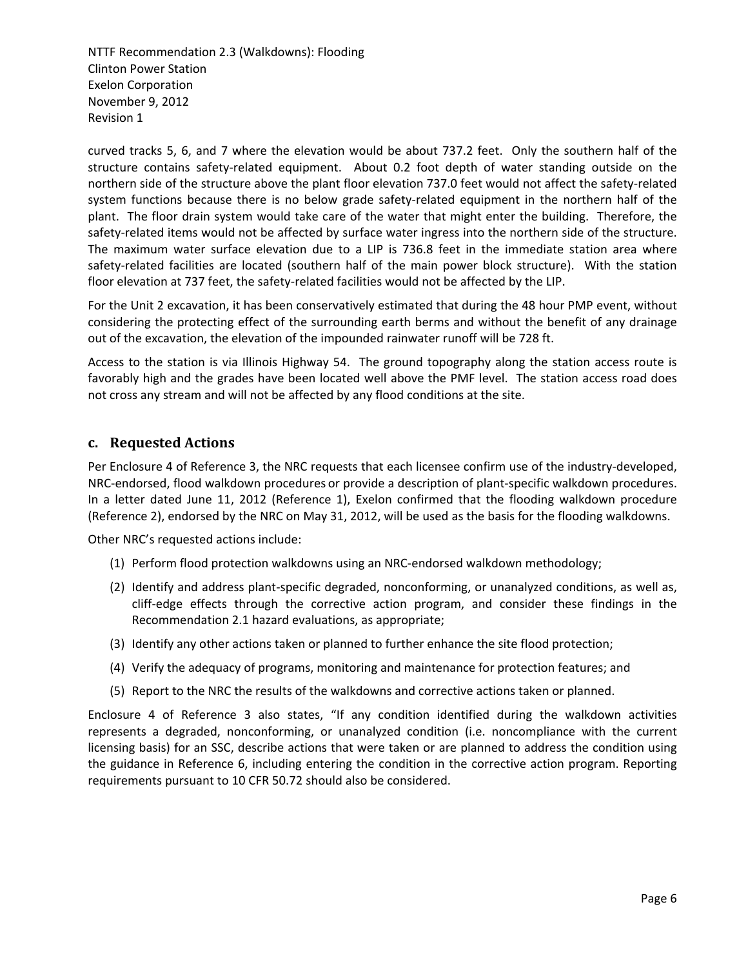curved tracks 5, 6, and 7 where the elevation would be about 737.2 feet. Only the southern half of the structure contains safety-related equipment. About 0.2 foot depth of water standing outside on the northern side of the structure above the plant floor elevation 737.0 feet would not affect the safety‐related system functions because there is no below grade safety-related equipment in the northern half of the plant. The floor drain system would take care of the water that might enter the building. Therefore, the safety-related items would not be affected by surface water ingress into the northern side of the structure. The maximum water surface elevation due to a LIP is 736.8 feet in the immediate station area where safety-related facilities are located (southern half of the main power block structure). With the station floor elevation at 737 feet, the safety-related facilities would not be affected by the LIP.

For the Unit 2 excavation, it has been conservatively estimated that during the 48 hour PMP event, without considering the protecting effect of the surrounding earth berms and without the benefit of any drainage out of the excavation, the elevation of the impounded rainwater runoff will be 728 ft.

Access to the station is via Illinois Highway 54. The ground topography along the station access route is favorably high and the grades have been located well above the PMF level. The station access road does not cross any stream and will not be affected by any flood conditions at the site.

## **c. Requested Actions**

Per Enclosure 4 of Reference 3, the NRC requests that each licensee confirm use of the industry‐developed, NRC‐endorsed, flood walkdown procedures or provide a description of plant‐specific walkdown procedures. In a letter dated June 11, 2012 (Reference 1), Exelon confirmed that the flooding walkdown procedure (Reference 2), endorsed by the NRC on May 31, 2012, will be used as the basis for the flooding walkdowns.

Other NRC's requested actions include:

- (1) Perform flood protection walkdowns using an NRC‐endorsed walkdown methodology;
- (2) Identify and address plant‐specific degraded, nonconforming, or unanalyzed conditions, as well as, cliff‐edge effects through the corrective action program, and consider these findings in the Recommendation 2.1 hazard evaluations, as appropriate;
- (3) Identify any other actions taken or planned to further enhance the site flood protection;
- (4) Verify the adequacy of programs, monitoring and maintenance for protection features; and
- (5) Report to the NRC the results of the walkdowns and corrective actions taken or planned.

Enclosure 4 of Reference 3 also states, "If any condition identified during the walkdown activities represents a degraded, nonconforming, or unanalyzed condition (i.e. noncompliance with the current licensing basis) for an SSC, describe actions that were taken or are planned to address the condition using the guidance in Reference 6, including entering the condition in the corrective action program. Reporting requirements pursuant to 10 CFR 50.72 should also be considered.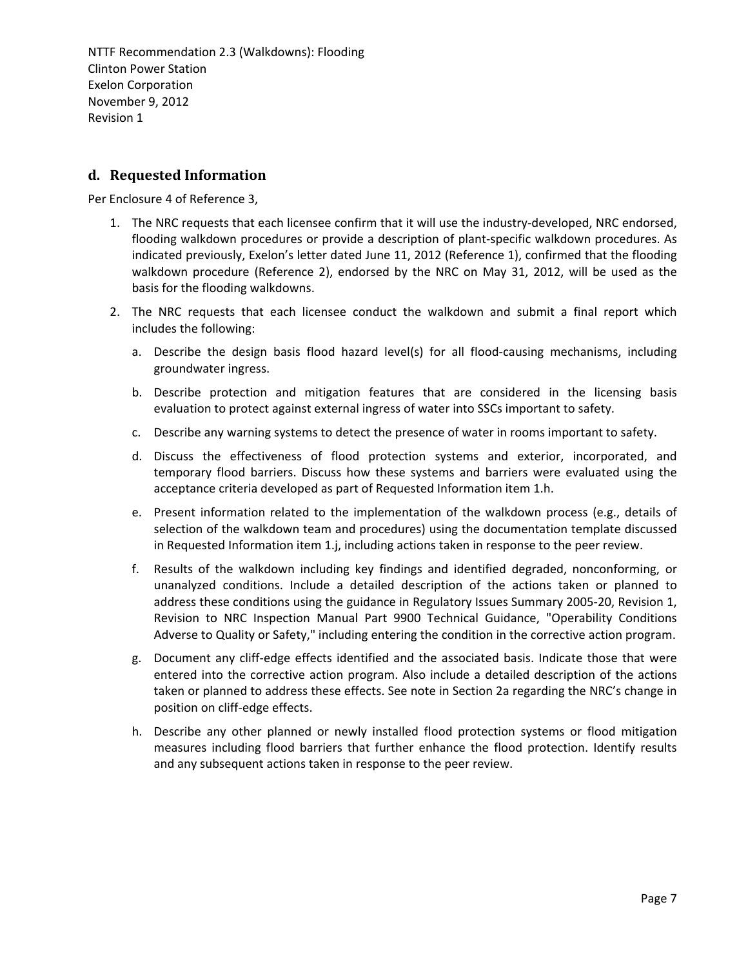## **d. Requested Information**

Per Enclosure 4 of Reference 3,

- 1. The NRC requests that each licensee confirm that it will use the industry-developed, NRC endorsed, flooding walkdown procedures or provide a description of plant-specific walkdown procedures. As indicated previously, Exelon's letter dated June 11, 2012 (Reference 1), confirmed that the flooding walkdown procedure (Reference 2), endorsed by the NRC on May 31, 2012, will be used as the basis for the flooding walkdowns.
- 2. The NRC requests that each licensee conduct the walkdown and submit a final report which includes the following:
	- a. Describe the design basis flood hazard level(s) for all flood-causing mechanisms, including groundwater ingress.
	- b. Describe protection and mitigation features that are considered in the licensing basis evaluation to protect against external ingress of water into SSCs important to safety.
	- c. Describe any warning systems to detect the presence of water in rooms important to safety.
	- d. Discuss the effectiveness of flood protection systems and exterior, incorporated, and temporary flood barriers. Discuss how these systems and barriers were evaluated using the acceptance criteria developed as part of Requested Information item 1.h.
	- e. Present information related to the implementation of the walkdown process (e.g., details of selection of the walkdown team and procedures) using the documentation template discussed in Requested Information item 1.j, including actions taken in response to the peer review.
	- f. Results of the walkdown including key findings and identified degraded, nonconforming, or unanalyzed conditions. Include a detailed description of the actions taken or planned to address these conditions using the guidance in Regulatory Issues Summary 2005‐20, Revision 1, Revision to NRC Inspection Manual Part 9900 Technical Guidance, "Operability Conditions Adverse to Quality or Safety," including entering the condition in the corrective action program.
	- g. Document any cliff‐edge effects identified and the associated basis. Indicate those that were entered into the corrective action program. Also include a detailed description of the actions taken or planned to address these effects. See note in Section 2a regarding the NRC's change in position on cliff‐edge effects.
	- h. Describe any other planned or newly installed flood protection systems or flood mitigation measures including flood barriers that further enhance the flood protection. Identify results and any subsequent actions taken in response to the peer review.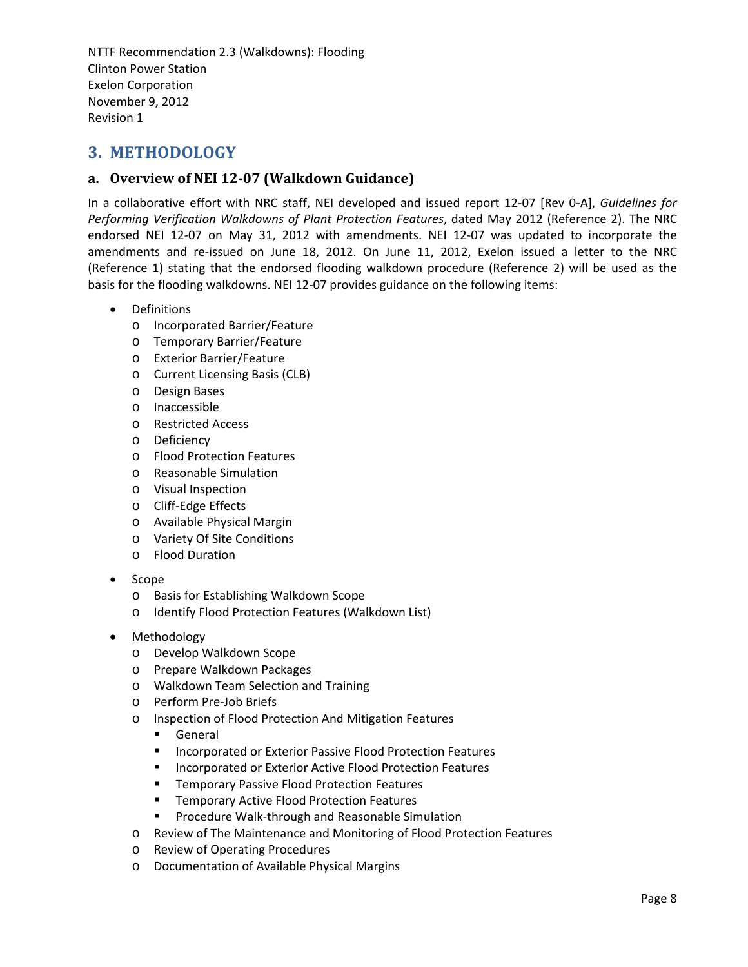# **3. METHODOLOGY**

## **a. Overview of NEI 1207 (Walkdown Guidance)**

In a collaborative effort with NRC staff, NEI developed and issued report 12‐07 [Rev 0‐A], *Guidelines for Performing Verification Walkdowns of Plant Protection Features*, dated May 2012 (Reference 2). The NRC endorsed NEI 12‐07 on May 31, 2012 with amendments. NEI 12‐07 was updated to incorporate the amendments and re-issued on June 18, 2012. On June 11, 2012, Exelon issued a letter to the NRC (Reference 1) stating that the endorsed flooding walkdown procedure (Reference 2) will be used as the basis for the flooding walkdowns. NEI 12‐07 provides guidance on the following items:

- Definitions
	- o Incorporated Barrier/Feature
	- o Temporary Barrier/Feature
	- o Exterior Barrier/Feature
	- o Current Licensing Basis (CLB)
	- o Design Bases
	- o Inaccessible
	- o Restricted Access
	- o Deficiency
	- o Flood Protection Features
	- o Reasonable Simulation
	- o Visual Inspection
	- o Cliff‐Edge Effects
	- o Available Physical Margin
	- o Variety Of Site Conditions
	- o Flood Duration
- Scope
	- o Basis for Establishing Walkdown Scope
	- o Identify Flood Protection Features (Walkdown List)
- Methodology
	- o Develop Walkdown Scope
	- o Prepare Walkdown Packages
	- o Walkdown Team Selection and Training
	- o Perform Pre‐Job Briefs
	- o Inspection of Flood Protection And Mitigation Features
		- General
		- Incorporated or Exterior Passive Flood Protection Features
		- **Incorporated or Exterior Active Flood Protection Features**
		- **Temporary Passive Flood Protection Features**
		- **Temporary Active Flood Protection Features**
		- Procedure Walk-through and Reasonable Simulation
	- o Review of The Maintenance and Monitoring of Flood Protection Features
	- o Review of Operating Procedures
	- o Documentation of Available Physical Margins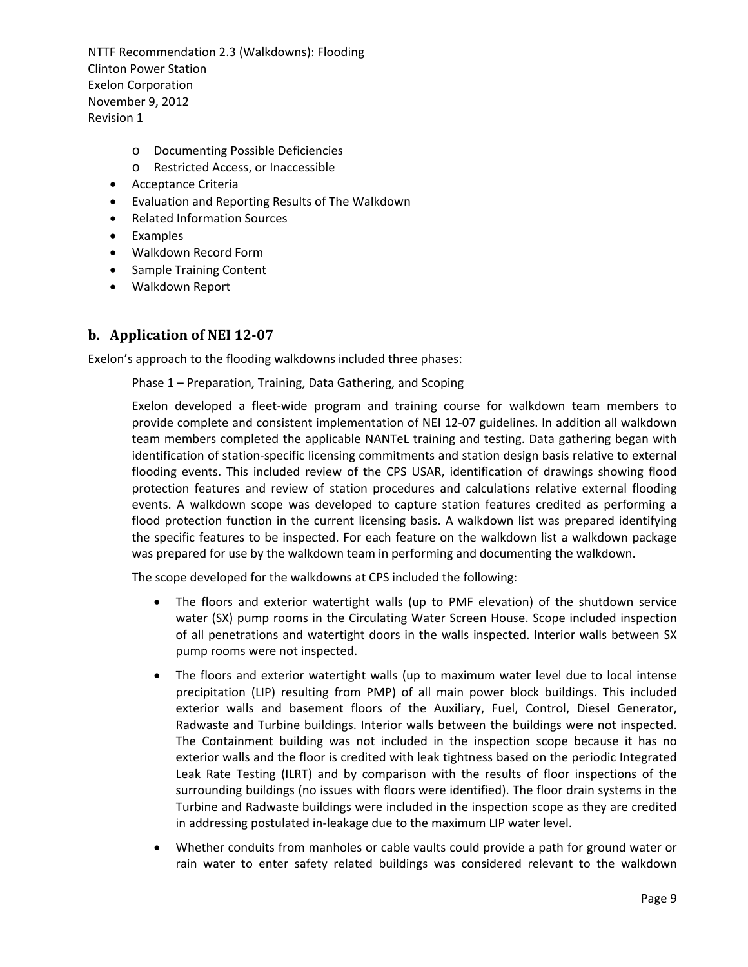- o Documenting Possible Deficiencies
- o Restricted Access, or Inaccessible
- Acceptance Criteria
- Evaluation and Reporting Results of The Walkdown
- Related Information Sources
- Examples
- Walkdown Record Form
- Sample Training Content
- Walkdown Report

#### **b. Application of NEI 1207**

Exelon's approach to the flooding walkdowns included three phases:

Phase 1 – Preparation, Training, Data Gathering, and Scoping

Exelon developed a fleet‐wide program and training course for walkdown team members to provide complete and consistent implementation of NEI 12‐07 guidelines. In addition all walkdown team members completed the applicable NANTeL training and testing. Data gathering began with identification of station‐specific licensing commitments and station design basis relative to external flooding events. This included review of the CPS USAR, identification of drawings showing flood protection features and review of station procedures and calculations relative external flooding events. A walkdown scope was developed to capture station features credited as performing a flood protection function in the current licensing basis. A walkdown list was prepared identifying the specific features to be inspected. For each feature on the walkdown list a walkdown package was prepared for use by the walkdown team in performing and documenting the walkdown.

The scope developed for the walkdowns at CPS included the following:

- The floors and exterior watertight walls (up to PMF elevation) of the shutdown service water (SX) pump rooms in the Circulating Water Screen House. Scope included inspection of all penetrations and watertight doors in the walls inspected. Interior walls between SX pump rooms were not inspected.
- The floors and exterior watertight walls (up to maximum water level due to local intense precipitation (LIP) resulting from PMP) of all main power block buildings. This included exterior walls and basement floors of the Auxiliary, Fuel, Control, Diesel Generator, Radwaste and Turbine buildings. Interior walls between the buildings were not inspected. The Containment building was not included in the inspection scope because it has no exterior walls and the floor is credited with leak tightness based on the periodic Integrated Leak Rate Testing (ILRT) and by comparison with the results of floor inspections of the surrounding buildings (no issues with floors were identified). The floor drain systems in the Turbine and Radwaste buildings were included in the inspection scope as they are credited in addressing postulated in‐leakage due to the maximum LIP water level.
- Whether conduits from manholes or cable vaults could provide a path for ground water or rain water to enter safety related buildings was considered relevant to the walkdown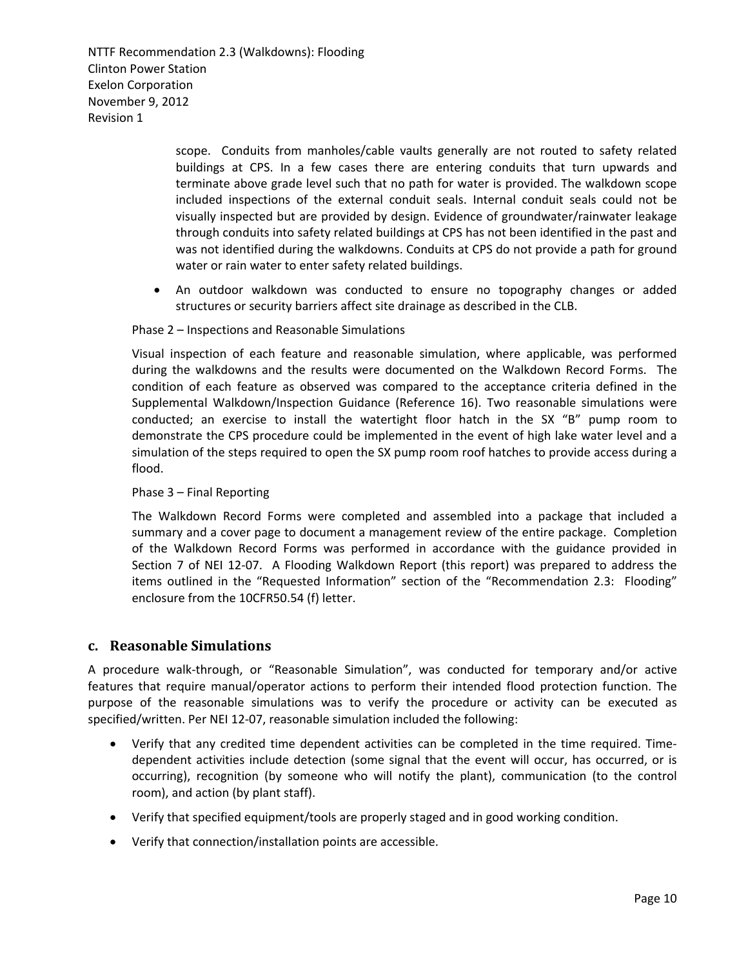> scope. Conduits from manholes/cable vaults generally are not routed to safety related buildings at CPS. In a few cases there are entering conduits that turn upwards and terminate above grade level such that no path for water is provided. The walkdown scope included inspections of the external conduit seals. Internal conduit seals could not be visually inspected but are provided by design. Evidence of groundwater/rainwater leakage through conduits into safety related buildings at CPS has not been identified in the past and was not identified during the walkdowns. Conduits at CPS do not provide a path for ground water or rain water to enter safety related buildings.

 An outdoor walkdown was conducted to ensure no topography changes or added structures or security barriers affect site drainage as described in the CLB.

#### Phase 2 – Inspections and Reasonable Simulations

Visual inspection of each feature and reasonable simulation, where applicable, was performed during the walkdowns and the results were documented on the Walkdown Record Forms. The condition of each feature as observed was compared to the acceptance criteria defined in the Supplemental Walkdown/Inspection Guidance (Reference 16). Two reasonable simulations were conducted; an exercise to install the watertight floor hatch in the SX "B" pump room to demonstrate the CPS procedure could be implemented in the event of high lake water level and a simulation of the steps required to open the SX pump room roof hatches to provide access during a flood.

#### Phase 3 – Final Reporting

The Walkdown Record Forms were completed and assembled into a package that included a summary and a cover page to document a management review of the entire package. Completion of the Walkdown Record Forms was performed in accordance with the guidance provided in Section 7 of NEI 12-07. A Flooding Walkdown Report (this report) was prepared to address the items outlined in the "Requested Information" section of the "Recommendation 2.3: Flooding" enclosure from the 10CFR50.54 (f) letter.

#### **c. Reasonable Simulations**

A procedure walk‐through, or "Reasonable Simulation", was conducted for temporary and/or active features that require manual/operator actions to perform their intended flood protection function. The purpose of the reasonable simulations was to verify the procedure or activity can be executed as specified/written. Per NEI 12‐07, reasonable simulation included the following:

- Verify that any credited time dependent activities can be completed in the time required. Time‐ dependent activities include detection (some signal that the event will occur, has occurred, or is occurring), recognition (by someone who will notify the plant), communication (to the control room), and action (by plant staff).
- Verify that specified equipment/tools are properly staged and in good working condition.
- Verify that connection/installation points are accessible.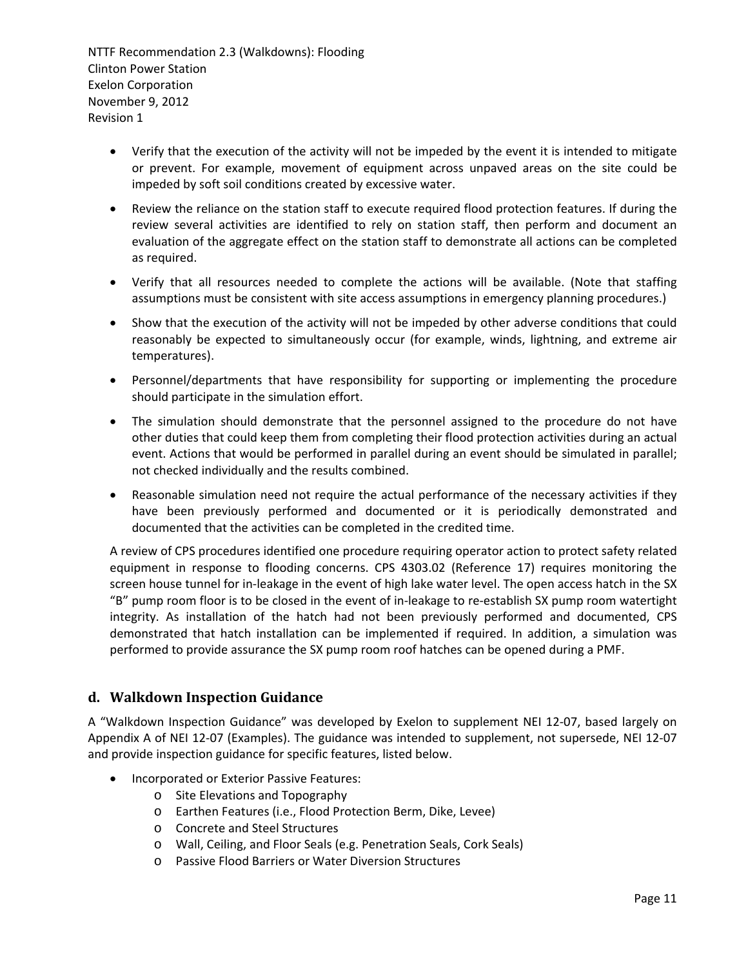- Verify that the execution of the activity will not be impeded by the event it is intended to mitigate or prevent. For example, movement of equipment across unpaved areas on the site could be impeded by soft soil conditions created by excessive water.
- Review the reliance on the station staff to execute required flood protection features. If during the review several activities are identified to rely on station staff, then perform and document an evaluation of the aggregate effect on the station staff to demonstrate all actions can be completed as required.
- Verify that all resources needed to complete the actions will be available. (Note that staffing assumptions must be consistent with site access assumptions in emergency planning procedures.)
- Show that the execution of the activity will not be impeded by other adverse conditions that could reasonably be expected to simultaneously occur (for example, winds, lightning, and extreme air temperatures).
- Personnel/departments that have responsibility for supporting or implementing the procedure should participate in the simulation effort.
- The simulation should demonstrate that the personnel assigned to the procedure do not have other duties that could keep them from completing their flood protection activities during an actual event. Actions that would be performed in parallel during an event should be simulated in parallel; not checked individually and the results combined.
- Reasonable simulation need not require the actual performance of the necessary activities if they have been previously performed and documented or it is periodically demonstrated and documented that the activities can be completed in the credited time.

A review of CPS procedures identified one procedure requiring operator action to protect safety related equipment in response to flooding concerns. CPS 4303.02 (Reference 17) requires monitoring the screen house tunnel for in-leakage in the event of high lake water level. The open access hatch in the SX "B" pump room floor is to be closed in the event of in‐leakage to re‐establish SX pump room watertight integrity. As installation of the hatch had not been previously performed and documented, CPS demonstrated that hatch installation can be implemented if required. In addition, a simulation was performed to provide assurance the SX pump room roof hatches can be opened during a PMF.

## **d. Walkdown Inspection Guidance**

A "Walkdown Inspection Guidance" was developed by Exelon to supplement NEI 12‐07, based largely on Appendix A of NEI 12‐07 (Examples). The guidance was intended to supplement, not supersede, NEI 12‐07 and provide inspection guidance for specific features, listed below.

- **•** Incorporated or Exterior Passive Features:
	- o Site Elevations and Topography
	- o Earthen Features (i.e., Flood Protection Berm, Dike, Levee)
	- o Concrete and Steel Structures
	- o Wall, Ceiling, and Floor Seals (e.g. Penetration Seals, Cork Seals)
	- o Passive Flood Barriers or Water Diversion Structures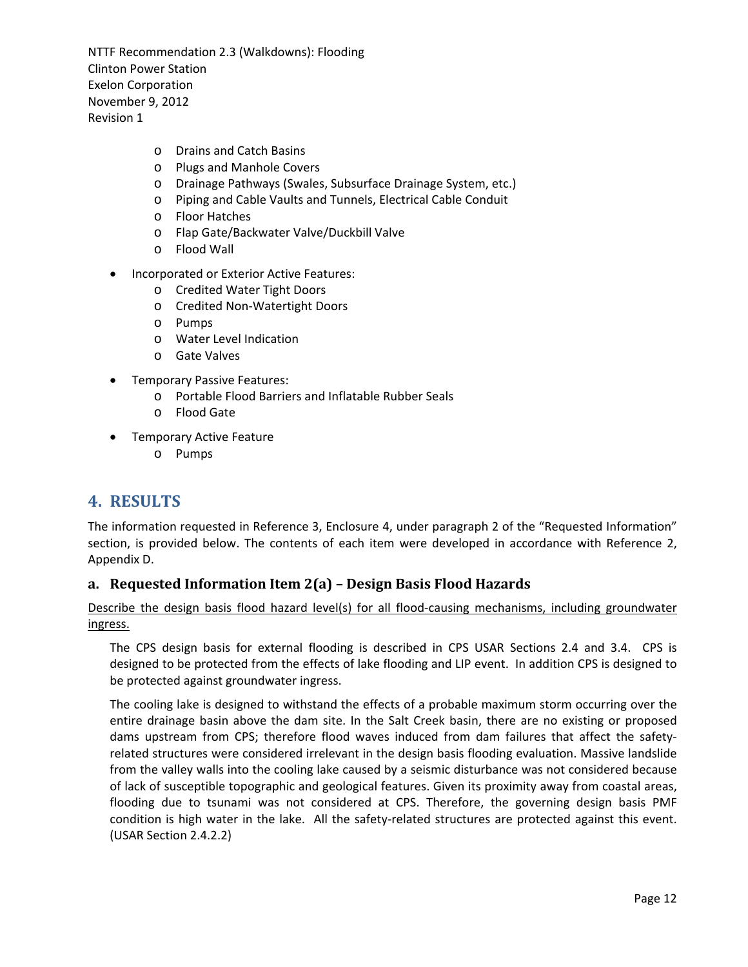- o Drains and Catch Basins
- o Plugs and Manhole Covers
- o Drainage Pathways (Swales, Subsurface Drainage System, etc.)
- o Piping and Cable Vaults and Tunnels, Electrical Cable Conduit
- o Floor Hatches
- o Flap Gate/Backwater Valve/Duckbill Valve
- o Flood Wall
- Incorporated or Exterior Active Features:
	- o Credited Water Tight Doors
	- o Credited Non‐Watertight Doors
	- o Pumps
	- o Water Level Indication
	- o Gate Valves
- **•** Temporary Passive Features:
	- o Portable Flood Barriers and Inflatable Rubber Seals
	- o Flood Gate
- **•** Temporary Active Feature
	- o Pumps

# **4. RESULTS**

The information requested in Reference 3, Enclosure 4, under paragraph 2 of the "Requested Information" section, is provided below. The contents of each item were developed in accordance with Reference 2, Appendix D.

## **a. Requested Information Item 2(a) – Design Basis Flood Hazards**

Describe the design basis flood hazard level(s) for all flood-causing mechanisms, including groundwater ingress.

The CPS design basis for external flooding is described in CPS USAR Sections 2.4 and 3.4. CPS is designed to be protected from the effects of lake flooding and LIP event. In addition CPS is designed to be protected against groundwater ingress.

The cooling lake is designed to withstand the effects of a probable maximum storm occurring over the entire drainage basin above the dam site. In the Salt Creek basin, there are no existing or proposed dams upstream from CPS; therefore flood waves induced from dam failures that affect the safety‐ related structures were considered irrelevant in the design basis flooding evaluation. Massive landslide from the valley walls into the cooling lake caused by a seismic disturbance was not considered because of lack of susceptible topographic and geological features. Given its proximity away from coastal areas, flooding due to tsunami was not considered at CPS. Therefore, the governing design basis PMF condition is high water in the lake. All the safety-related structures are protected against this event. (USAR Section 2.4.2.2)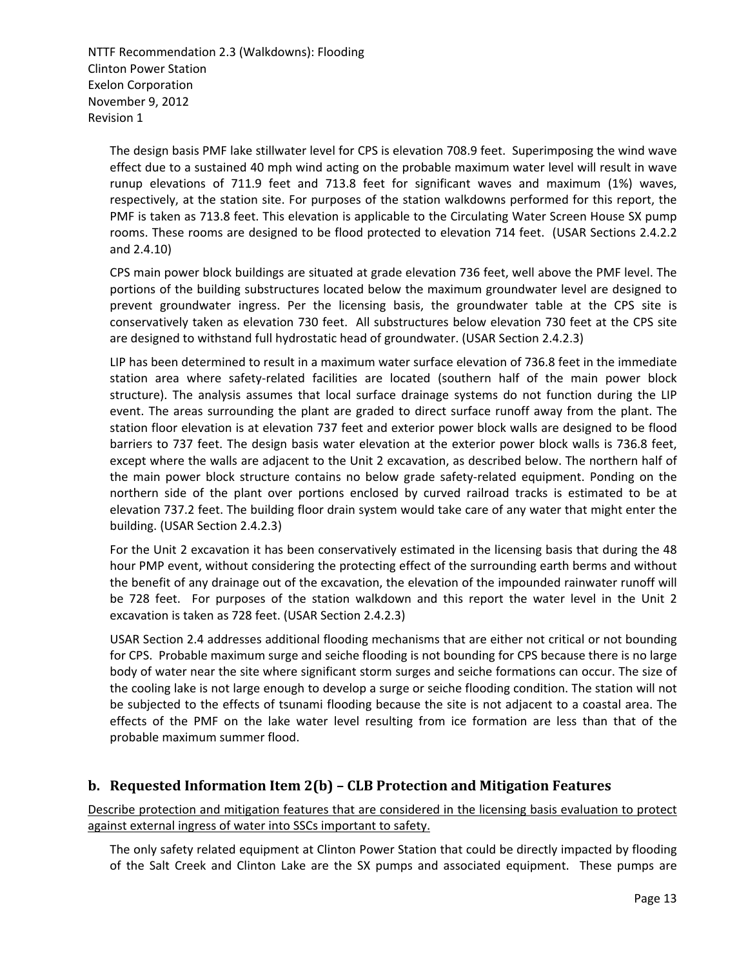The design basis PMF lake stillwater level for CPS is elevation 708.9 feet. Superimposing the wind wave effect due to a sustained 40 mph wind acting on the probable maximum water level will result in wave runup elevations of 711.9 feet and 713.8 feet for significant waves and maximum (1%) waves, respectively, at the station site. For purposes of the station walkdowns performed for this report, the PMF is taken as 713.8 feet. This elevation is applicable to the Circulating Water Screen House SX pump rooms. These rooms are designed to be flood protected to elevation 714 feet. (USAR Sections 2.4.2.2 and 2.4.10)

CPS main power block buildings are situated at grade elevation 736 feet, well above the PMF level. The portions of the building substructures located below the maximum groundwater level are designed to prevent groundwater ingress. Per the licensing basis, the groundwater table at the CPS site is conservatively taken as elevation 730 feet. All substructures below elevation 730 feet at the CPS site are designed to withstand full hydrostatic head of groundwater. (USAR Section 2.4.2.3)

LIP has been determined to result in a maximum water surface elevation of 736.8 feet in the immediate station area where safety-related facilities are located (southern half of the main power block structure). The analysis assumes that local surface drainage systems do not function during the LIP event. The areas surrounding the plant are graded to direct surface runoff away from the plant. The station floor elevation is at elevation 737 feet and exterior power block walls are designed to be flood barriers to 737 feet. The design basis water elevation at the exterior power block walls is 736.8 feet, except where the walls are adjacent to the Unit 2 excavation, as described below. The northern half of the main power block structure contains no below grade safety-related equipment. Ponding on the northern side of the plant over portions enclosed by curved railroad tracks is estimated to be at elevation 737.2 feet. The building floor drain system would take care of any water that might enter the building. (USAR Section 2.4.2.3)

For the Unit 2 excavation it has been conservatively estimated in the licensing basis that during the 48 hour PMP event, without considering the protecting effect of the surrounding earth berms and without the benefit of any drainage out of the excavation, the elevation of the impounded rainwater runoff will be 728 feet. For purposes of the station walkdown and this report the water level in the Unit 2 excavation is taken as 728 feet. (USAR Section 2.4.2.3)

USAR Section 2.4 addresses additional flooding mechanisms that are either not critical or not bounding for CPS. Probable maximum surge and seiche flooding is not bounding for CPS because there is no large body of water near the site where significant storm surges and seiche formations can occur. The size of the cooling lake is not large enough to develop a surge or seiche flooding condition. The station will not be subjected to the effects of tsunami flooding because the site is not adjacent to a coastal area. The effects of the PMF on the lake water level resulting from ice formation are less than that of the probable maximum summer flood.

## **b. Requested Information Item 2(b) – CLB Protection and Mitigation Features**

Describe protection and mitigation features that are considered in the licensing basis evaluation to protect against external ingress of water into SSCs important to safety.

The only safety related equipment at Clinton Power Station that could be directly impacted by flooding of the Salt Creek and Clinton Lake are the SX pumps and associated equipment. These pumps are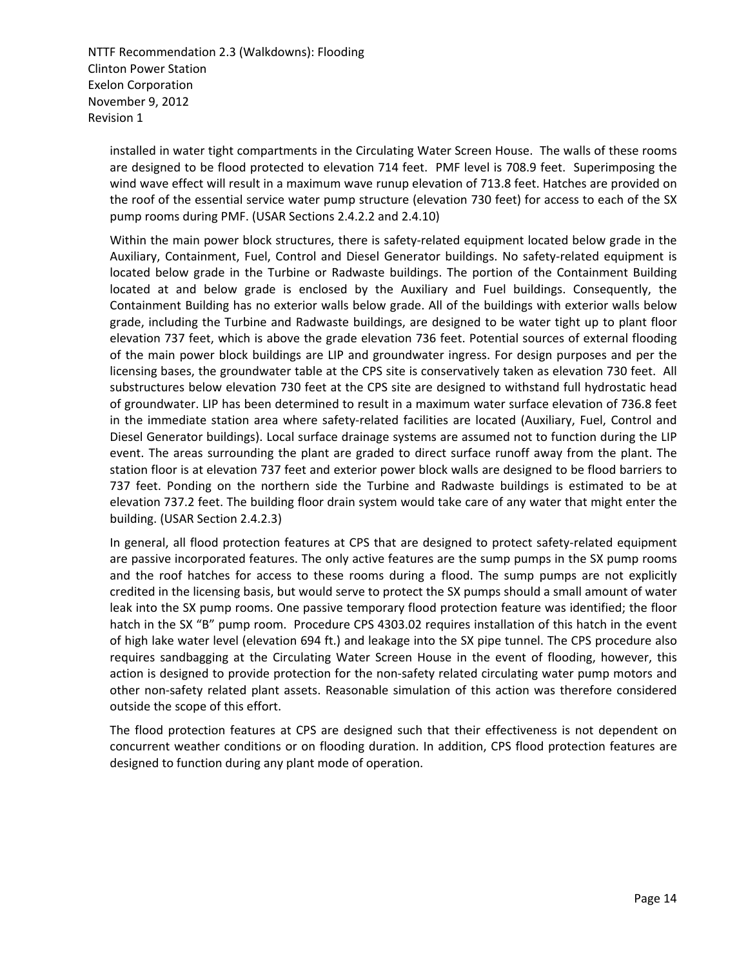installed in water tight compartments in the Circulating Water Screen House. The walls of these rooms are designed to be flood protected to elevation 714 feet. PMF level is 708.9 feet. Superimposing the wind wave effect will result in a maximum wave runup elevation of 713.8 feet. Hatches are provided on the roof of the essential service water pump structure (elevation 730 feet) for access to each of the SX pump rooms during PMF. (USAR Sections 2.4.2.2 and 2.4.10)

Within the main power block structures, there is safety-related equipment located below grade in the Auxiliary, Containment, Fuel, Control and Diesel Generator buildings. No safety‐related equipment is located below grade in the Turbine or Radwaste buildings. The portion of the Containment Building located at and below grade is enclosed by the Auxiliary and Fuel buildings. Consequently, the Containment Building has no exterior walls below grade. All of the buildings with exterior walls below grade, including the Turbine and Radwaste buildings, are designed to be water tight up to plant floor elevation 737 feet, which is above the grade elevation 736 feet. Potential sources of external flooding of the main power block buildings are LIP and groundwater ingress. For design purposes and per the licensing bases, the groundwater table at the CPS site is conservatively taken as elevation 730 feet. All substructures below elevation 730 feet at the CPS site are designed to withstand full hydrostatic head of groundwater. LIP has been determined to result in a maximum water surface elevation of 736.8 feet in the immediate station area where safety‐related facilities are located (Auxiliary, Fuel, Control and Diesel Generator buildings). Local surface drainage systems are assumed not to function during the LIP event. The areas surrounding the plant are graded to direct surface runoff away from the plant. The station floor is at elevation 737 feet and exterior power block walls are designed to be flood barriers to 737 feet. Ponding on the northern side the Turbine and Radwaste buildings is estimated to be at elevation 737.2 feet. The building floor drain system would take care of any water that might enter the building. (USAR Section 2.4.2.3)

In general, all flood protection features at CPS that are designed to protect safety-related equipment are passive incorporated features. The only active features are the sump pumps in the SX pump rooms and the roof hatches for access to these rooms during a flood. The sump pumps are not explicitly credited in the licensing basis, but would serve to protect the SX pumps should a small amount of water leak into the SX pump rooms. One passive temporary flood protection feature was identified; the floor hatch in the SX "B" pump room. Procedure CPS 4303.02 requires installation of this hatch in the event of high lake water level (elevation 694 ft.) and leakage into the SX pipe tunnel. The CPS procedure also requires sandbagging at the Circulating Water Screen House in the event of flooding, however, this action is designed to provide protection for the non‐safety related circulating water pump motors and other non‐safety related plant assets. Reasonable simulation of this action was therefore considered outside the scope of this effort.

The flood protection features at CPS are designed such that their effectiveness is not dependent on concurrent weather conditions or on flooding duration. In addition, CPS flood protection features are designed to function during any plant mode of operation.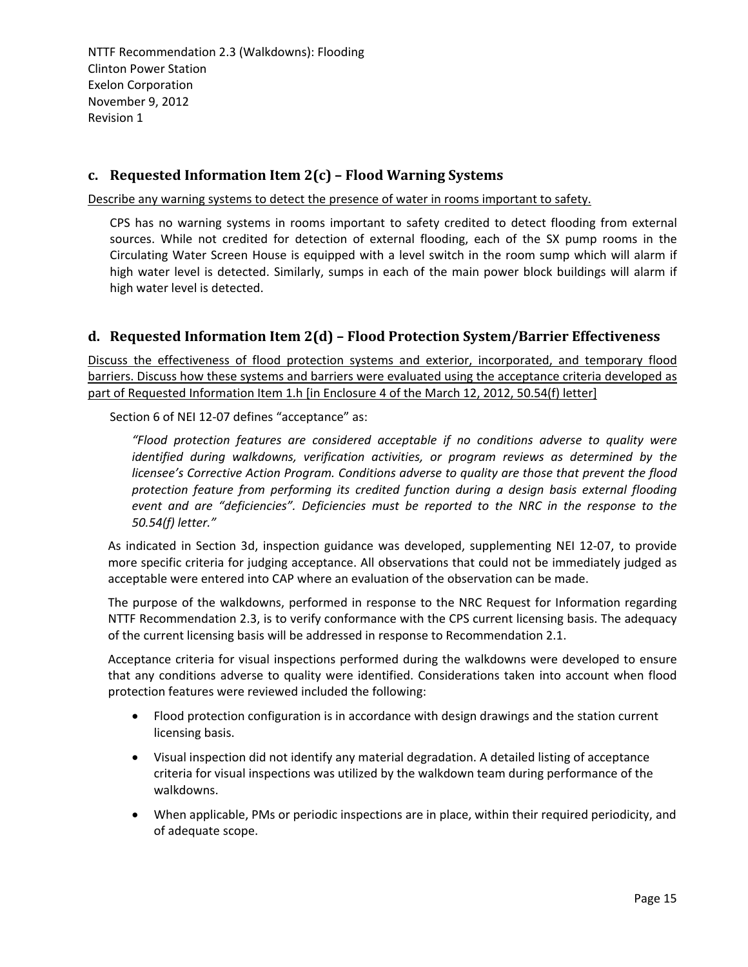## **c. Requested Information Item 2(c) – Flood Warning Systems**

Describe any warning systems to detect the presence of water in rooms important to safety.

CPS has no warning systems in rooms important to safety credited to detect flooding from external sources. While not credited for detection of external flooding, each of the SX pump rooms in the Circulating Water Screen House is equipped with a level switch in the room sump which will alarm if high water level is detected. Similarly, sumps in each of the main power block buildings will alarm if high water level is detected.

## **d. Requested Information Item 2(d) – Flood Protection System/Barrier Effectiveness**

Discuss the effectiveness of flood protection systems and exterior, incorporated, and temporary flood barriers. Discuss how these systems and barriers were evaluated using the acceptance criteria developed as part of Requested Information Item 1.h [in Enclosure 4 of the March 12, 2012, 50.54(f) letter]

Section 6 of NEI 12-07 defines "acceptance" as:

*"Flood protection features are considered acceptable if no conditions adverse to quality were identified during walkdowns, verification activities, or program reviews as determined by the licensee's Corrective Action Program. Conditions adverse to quality are those that prevent the flood protection feature from performing its credited function during a design basis external flooding event and are "deficiencies". Deficiencies must be reported to the NRC in the response to the 50.54(f) letter."*

As indicated in Section 3d, inspection guidance was developed, supplementing NEI 12‐07, to provide more specific criteria for judging acceptance. All observations that could not be immediately judged as acceptable were entered into CAP where an evaluation of the observation can be made.

The purpose of the walkdowns, performed in response to the NRC Request for Information regarding NTTF Recommendation 2.3, is to verify conformance with the CPS current licensing basis. The adequacy of the current licensing basis will be addressed in response to Recommendation 2.1.

Acceptance criteria for visual inspections performed during the walkdowns were developed to ensure that any conditions adverse to quality were identified. Considerations taken into account when flood protection features were reviewed included the following:

- Flood protection configuration is in accordance with design drawings and the station current licensing basis.
- Visual inspection did not identify any material degradation. A detailed listing of acceptance criteria for visual inspections was utilized by the walkdown team during performance of the walkdowns.
- When applicable, PMs or periodic inspections are in place, within their required periodicity, and of adequate scope.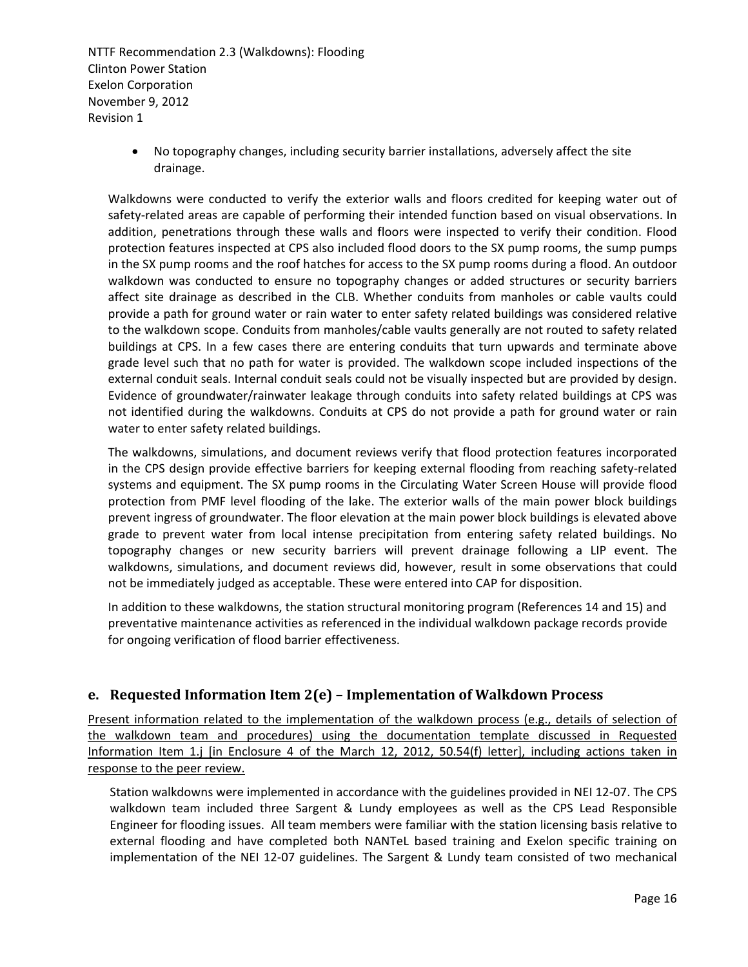> No topography changes, including security barrier installations, adversely affect the site drainage.

Walkdowns were conducted to verify the exterior walls and floors credited for keeping water out of safety-related areas are capable of performing their intended function based on visual observations. In addition, penetrations through these walls and floors were inspected to verify their condition. Flood protection features inspected at CPS also included flood doors to the SX pump rooms, the sump pumps in the SX pump rooms and the roof hatches for access to the SX pump rooms during a flood. An outdoor walkdown was conducted to ensure no topography changes or added structures or security barriers affect site drainage as described in the CLB. Whether conduits from manholes or cable vaults could provide a path for ground water or rain water to enter safety related buildings was considered relative to the walkdown scope. Conduits from manholes/cable vaults generally are not routed to safety related buildings at CPS. In a few cases there are entering conduits that turn upwards and terminate above grade level such that no path for water is provided. The walkdown scope included inspections of the external conduit seals. Internal conduit seals could not be visually inspected but are provided by design. Evidence of groundwater/rainwater leakage through conduits into safety related buildings at CPS was not identified during the walkdowns. Conduits at CPS do not provide a path for ground water or rain water to enter safety related buildings.

The walkdowns, simulations, and document reviews verify that flood protection features incorporated in the CPS design provide effective barriers for keeping external flooding from reaching safety‐related systems and equipment. The SX pump rooms in the Circulating Water Screen House will provide flood protection from PMF level flooding of the lake. The exterior walls of the main power block buildings prevent ingress of groundwater. The floor elevation at the main power block buildings is elevated above grade to prevent water from local intense precipitation from entering safety related buildings. No topography changes or new security barriers will prevent drainage following a LIP event. The walkdowns, simulations, and document reviews did, however, result in some observations that could not be immediately judged as acceptable. These were entered into CAP for disposition.

In addition to these walkdowns, the station structural monitoring program (References 14 and 15) and preventative maintenance activities as referenced in the individual walkdown package records provide for ongoing verification of flood barrier effectiveness.

## **e. Requested Information Item 2(e) – Implementation of Walkdown Process**

Present information related to the implementation of the walkdown process (e.g., details of selection of the walkdown team and procedures) using the documentation template discussed in Requested Information Item 1.j [in Enclosure 4 of the March 12, 2012, 50.54(f) letter], including actions taken in response to the peer review.

Station walkdowns were implemented in accordance with the guidelines provided in NEI 12‐07. The CPS walkdown team included three Sargent & Lundy employees as well as the CPS Lead Responsible Engineer for flooding issues. All team members were familiar with the station licensing basis relative to external flooding and have completed both NANTeL based training and Exelon specific training on implementation of the NEI 12‐07 guidelines. The Sargent & Lundy team consisted of two mechanical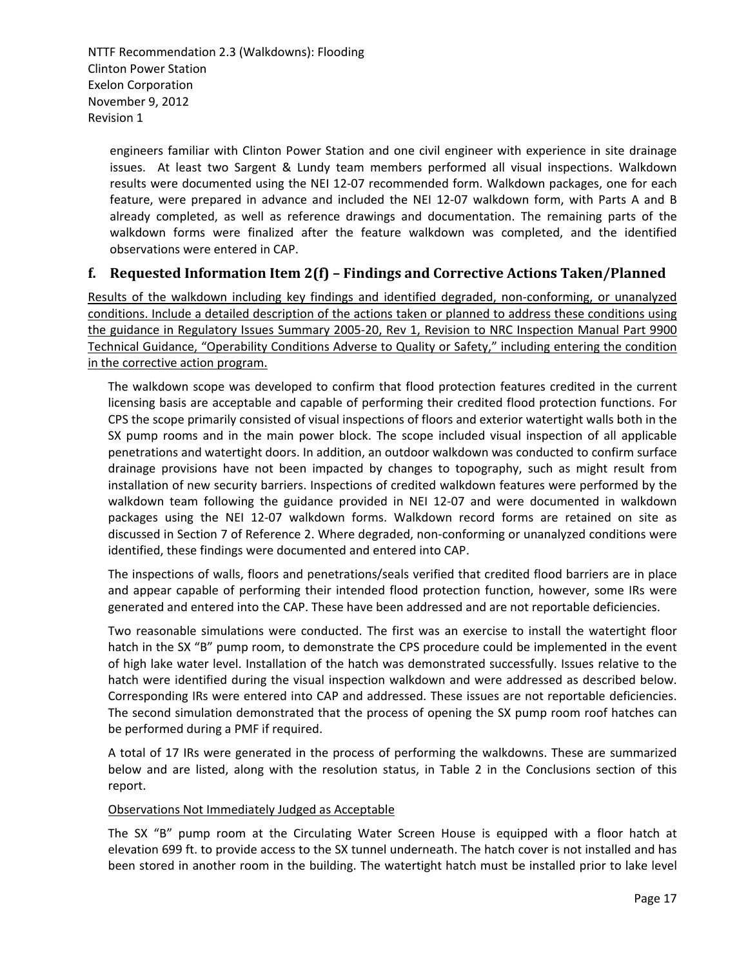engineers familiar with Clinton Power Station and one civil engineer with experience in site drainage issues. At least two Sargent & Lundy team members performed all visual inspections. Walkdown results were documented using the NEI 12‐07 recommended form. Walkdown packages, one for each feature, were prepared in advance and included the NEI 12‐07 walkdown form, with Parts A and B already completed, as well as reference drawings and documentation. The remaining parts of the walkdown forms were finalized after the feature walkdown was completed, and the identified observations were entered in CAP.

## **f. Requested Information Item 2(f) – Findings and Corrective Actions Taken/Planned**

Results of the walkdown including key findings and identified degraded, non‐conforming, or unanalyzed conditions. Include a detailed description of the actions taken or planned to address these conditions using the guidance in Regulatory Issues Summary 2005‐20, Rev 1, Revision to NRC Inspection Manual Part 9900 Technical Guidance, "Operability Conditions Adverse to Quality or Safety," including entering the condition in the corrective action program.

The walkdown scope was developed to confirm that flood protection features credited in the current licensing basis are acceptable and capable of performing their credited flood protection functions. For CPS the scope primarily consisted of visual inspections of floors and exterior watertight walls both in the SX pump rooms and in the main power block. The scope included visual inspection of all applicable penetrations and watertight doors. In addition, an outdoor walkdown was conducted to confirm surface drainage provisions have not been impacted by changes to topography, such as might result from installation of new security barriers. Inspections of credited walkdown features were performed by the walkdown team following the guidance provided in NEI 12‐07 and were documented in walkdown packages using the NEI 12‐07 walkdown forms. Walkdown record forms are retained on site as discussed in Section 7 of Reference 2. Where degraded, non-conforming or unanalyzed conditions were identified, these findings were documented and entered into CAP.

The inspections of walls, floors and penetrations/seals verified that credited flood barriers are in place and appear capable of performing their intended flood protection function, however, some IRs were generated and entered into the CAP. These have been addressed and are not reportable deficiencies.

Two reasonable simulations were conducted. The first was an exercise to install the watertight floor hatch in the SX "B" pump room, to demonstrate the CPS procedure could be implemented in the event of high lake water level. Installation of the hatch was demonstrated successfully. Issues relative to the hatch were identified during the visual inspection walkdown and were addressed as described below. Corresponding IRs were entered into CAP and addressed. These issues are not reportable deficiencies. The second simulation demonstrated that the process of opening the SX pump room roof hatches can be performed during a PMF if required.

A total of 17 IRs were generated in the process of performing the walkdowns. These are summarized below and are listed, along with the resolution status, in Table 2 in the Conclusions section of this report.

#### Observations Not Immediately Judged as Acceptable

The SX "B" pump room at the Circulating Water Screen House is equipped with a floor hatch at elevation 699 ft. to provide access to the SX tunnel underneath. The hatch cover is not installed and has been stored in another room in the building. The watertight hatch must be installed prior to lake level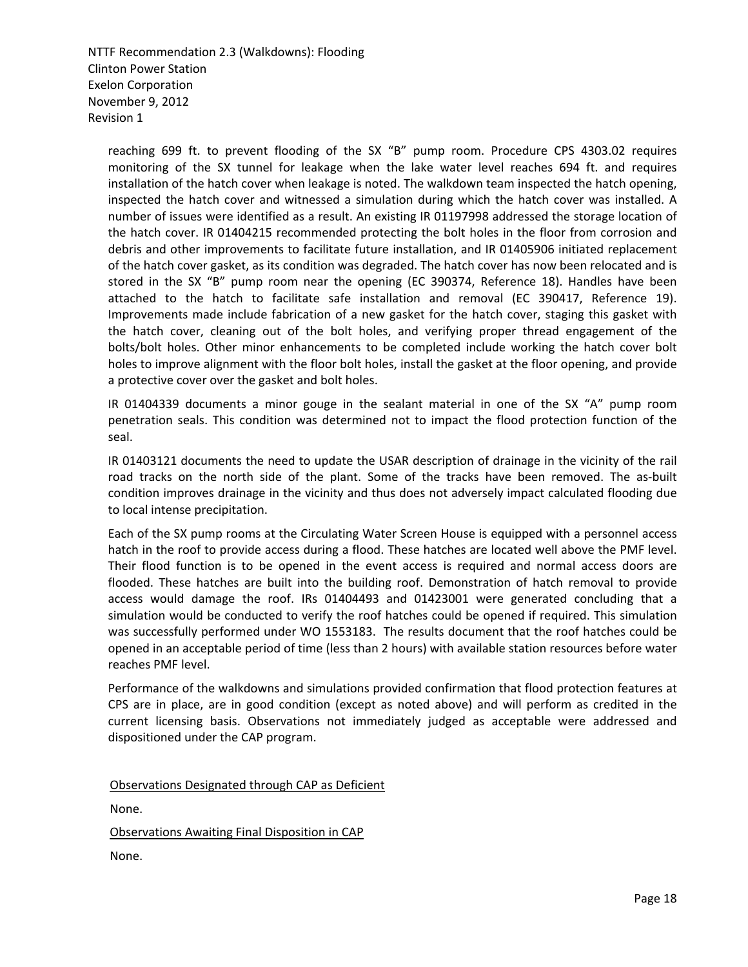reaching 699 ft. to prevent flooding of the SX "B" pump room. Procedure CPS 4303.02 requires monitoring of the SX tunnel for leakage when the lake water level reaches 694 ft. and requires installation of the hatch cover when leakage is noted. The walkdown team inspected the hatch opening, inspected the hatch cover and witnessed a simulation during which the hatch cover was installed. A number of issues were identified as a result. An existing IR 01197998 addressed the storage location of the hatch cover. IR 01404215 recommended protecting the bolt holes in the floor from corrosion and debris and other improvements to facilitate future installation, and IR 01405906 initiated replacement of the hatch cover gasket, as its condition was degraded. The hatch cover has now been relocated and is stored in the SX "B" pump room near the opening (EC 390374, Reference 18). Handles have been attached to the hatch to facilitate safe installation and removal (EC 390417, Reference 19). Improvements made include fabrication of a new gasket for the hatch cover, staging this gasket with the hatch cover, cleaning out of the bolt holes, and verifying proper thread engagement of the bolts/bolt holes. Other minor enhancements to be completed include working the hatch cover bolt holes to improve alignment with the floor bolt holes, install the gasket at the floor opening, and provide a protective cover over the gasket and bolt holes.

IR 01404339 documents a minor gouge in the sealant material in one of the SX "A" pump room penetration seals. This condition was determined not to impact the flood protection function of the seal.

IR 01403121 documents the need to update the USAR description of drainage in the vicinity of the rail road tracks on the north side of the plant. Some of the tracks have been removed. The as-built condition improves drainage in the vicinity and thus does not adversely impact calculated flooding due to local intense precipitation.

Each of the SX pump rooms at the Circulating Water Screen House is equipped with a personnel access hatch in the roof to provide access during a flood. These hatches are located well above the PMF level. Their flood function is to be opened in the event access is required and normal access doors are flooded. These hatches are built into the building roof. Demonstration of hatch removal to provide access would damage the roof. IRs 01404493 and 01423001 were generated concluding that a simulation would be conducted to verify the roof hatches could be opened if required. This simulation was successfully performed under WO 1553183. The results document that the roof hatches could be opened in an acceptable period of time (less than 2 hours) with available station resources before water reaches PMF level.

Performance of the walkdowns and simulations provided confirmation that flood protection features at CPS are in place, are in good condition (except as noted above) and will perform as credited in the current licensing basis. Observations not immediately judged as acceptable were addressed and dispositioned under the CAP program.

Observations Designated through CAP as Deficient

None.

Observations Awaiting Final Disposition in CAP

None.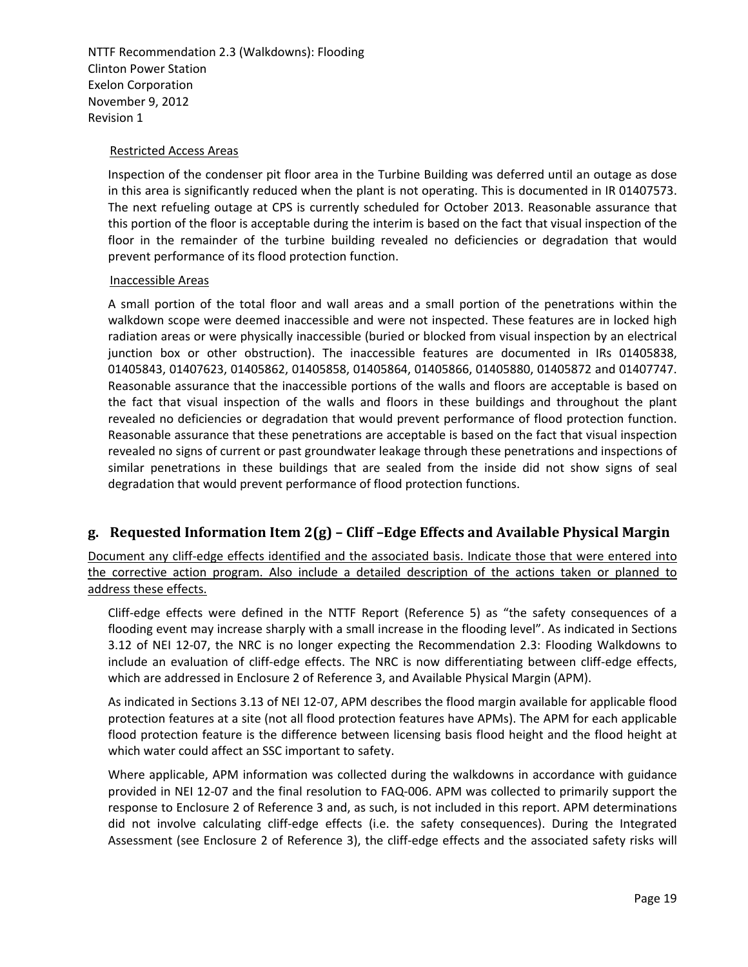#### Restricted Access Areas

Inspection of the condenser pit floor area in the Turbine Building was deferred until an outage as dose in this area is significantly reduced when the plant is not operating. This is documented in IR 01407573. The next refueling outage at CPS is currently scheduled for October 2013. Reasonable assurance that this portion of the floor is acceptable during the interim is based on the fact that visual inspection of the floor in the remainder of the turbine building revealed no deficiencies or degradation that would prevent performance of its flood protection function.

#### Inaccessible Areas

A small portion of the total floor and wall areas and a small portion of the penetrations within the walkdown scope were deemed inaccessible and were not inspected. These features are in locked high radiation areas or were physically inaccessible (buried or blocked from visual inspection by an electrical junction box or other obstruction). The inaccessible features are documented in IRs 01405838, 01405843, 01407623, 01405862, 01405858, 01405864, 01405866, 01405880, 01405872 and 01407747. Reasonable assurance that the inaccessible portions of the walls and floors are acceptable is based on the fact that visual inspection of the walls and floors in these buildings and throughout the plant revealed no deficiencies or degradation that would prevent performance of flood protection function. Reasonable assurance that these penetrations are acceptable is based on the fact that visual inspection revealed no signs of current or past groundwater leakage through these penetrations and inspections of similar penetrations in these buildings that are sealed from the inside did not show signs of seal degradation that would prevent performance of flood protection functions.

## **g. Requested Information Item 2(g) – Cliff –Edge Effects and Available Physical Margin**

Document any cliff-edge effects identified and the associated basis. Indicate those that were entered into the corrective action program. Also include a detailed description of the actions taken or planned to address these effects.

Cliff‐edge effects were defined in the NTTF Report (Reference 5) as "the safety consequences of a flooding event may increase sharply with a small increase in the flooding level". As indicated in Sections 3.12 of NEI 12‐07, the NRC is no longer expecting the Recommendation 2.3: Flooding Walkdowns to include an evaluation of cliff-edge effects. The NRC is now differentiating between cliff-edge effects, which are addressed in Enclosure 2 of Reference 3, and Available Physical Margin (APM).

As indicated in Sections 3.13 of NEI 12‐07, APM describes the flood margin available for applicable flood protection features at a site (not all flood protection features have APMs). The APM for each applicable flood protection feature is the difference between licensing basis flood height and the flood height at which water could affect an SSC important to safety.

Where applicable, APM information was collected during the walkdowns in accordance with guidance provided in NEI 12‐07 and the final resolution to FAQ‐006. APM was collected to primarily support the response to Enclosure 2 of Reference 3 and, as such, is not included in this report. APM determinations did not involve calculating cliff‐edge effects (i.e. the safety consequences). During the Integrated Assessment (see Enclosure 2 of Reference 3), the cliff‐edge effects and the associated safety risks will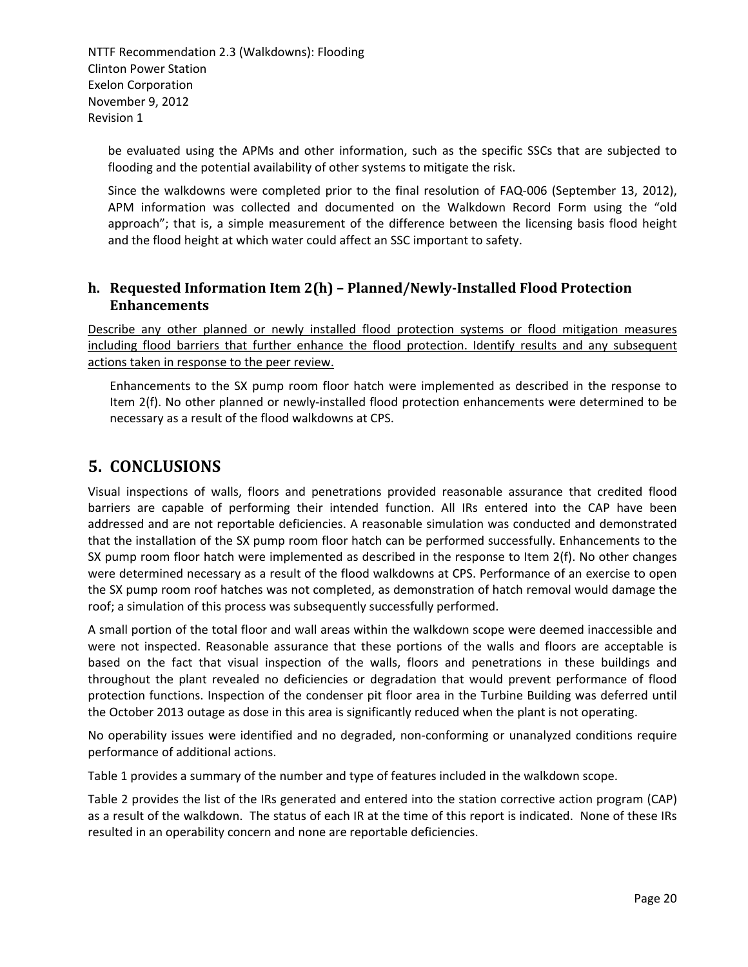be evaluated using the APMs and other information, such as the specific SSCs that are subjected to flooding and the potential availability of other systems to mitigate the risk.

Since the walkdowns were completed prior to the final resolution of FAQ-006 (September 13, 2012), APM information was collected and documented on the Walkdown Record Form using the "old approach"; that is, a simple measurement of the difference between the licensing basis flood height and the flood height at which water could affect an SSC important to safety.

## **h. Requested Information Item 2(h) – Planned/NewlyInstalled Flood Protection Enhancements**

Describe any other planned or newly installed flood protection systems or flood mitigation measures including flood barriers that further enhance the flood protection. Identify results and any subsequent actions taken in response to the peer review.

Enhancements to the SX pump room floor hatch were implemented as described in the response to Item 2(f). No other planned or newly-installed flood protection enhancements were determined to be necessary as a result of the flood walkdowns at CPS.

# **5. CONCLUSIONS**

Visual inspections of walls, floors and penetrations provided reasonable assurance that credited flood barriers are capable of performing their intended function. All IRs entered into the CAP have been addressed and are not reportable deficiencies. A reasonable simulation was conducted and demonstrated that the installation of the SX pump room floor hatch can be performed successfully. Enhancements to the SX pump room floor hatch were implemented as described in the response to Item 2(f). No other changes were determined necessary as a result of the flood walkdowns at CPS. Performance of an exercise to open the SX pump room roof hatches was not completed, as demonstration of hatch removal would damage the roof; a simulation of this process was subsequently successfully performed.

A small portion of the total floor and wall areas within the walkdown scope were deemed inaccessible and were not inspected. Reasonable assurance that these portions of the walls and floors are acceptable is based on the fact that visual inspection of the walls, floors and penetrations in these buildings and throughout the plant revealed no deficiencies or degradation that would prevent performance of flood protection functions. Inspection of the condenser pit floor area in the Turbine Building was deferred until the October 2013 outage as dose in this area is significantly reduced when the plant is not operating.

No operability issues were identified and no degraded, non‐conforming or unanalyzed conditions require performance of additional actions.

Table 1 provides a summary of the number and type of features included in the walkdown scope.

Table 2 provides the list of the IRs generated and entered into the station corrective action program (CAP) as a result of the walkdown. The status of each IR at the time of this report is indicated. None of these IRs resulted in an operability concern and none are reportable deficiencies.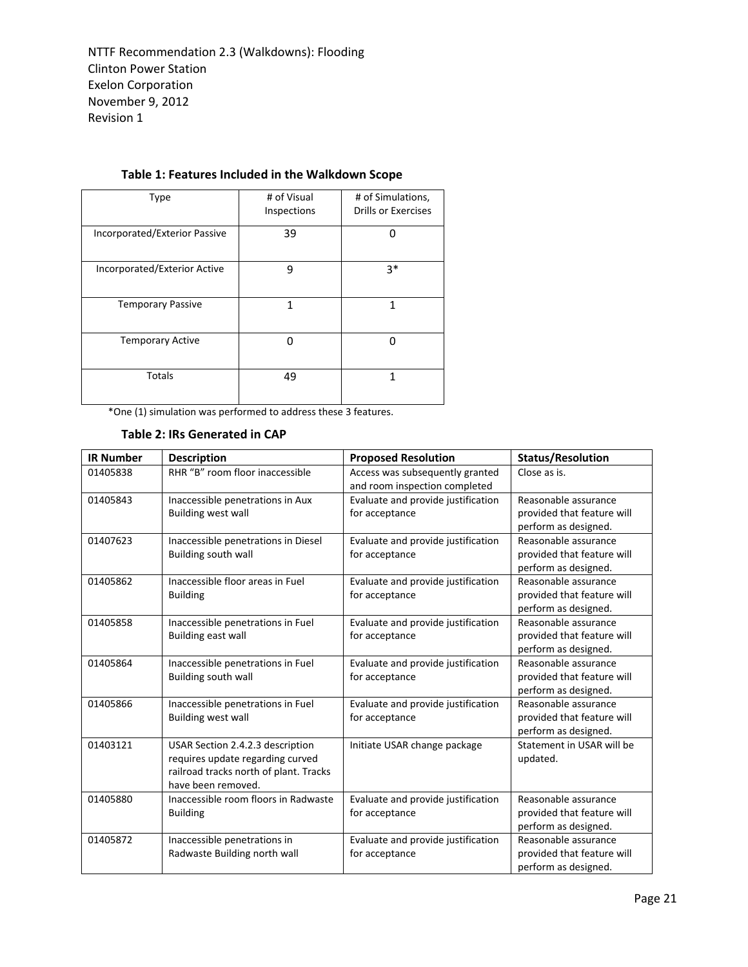| <b>Type</b>                   | # of Visual<br>Inspections | # of Simulations,<br>Drills or Exercises |
|-------------------------------|----------------------------|------------------------------------------|
| Incorporated/Exterior Passive | 39                         |                                          |
| Incorporated/Exterior Active  | 9                          | $3*$                                     |
| <b>Temporary Passive</b>      | 1                          | 1                                        |
| <b>Temporary Active</b>       | n                          | ŋ                                        |
| <b>Totals</b>                 | 49                         | 1                                        |

## **Table 1: Features Included in the Walkdown Scope**

\*One (1) simulation was performed to address these 3 features.

#### **Table 2: IRs Generated in CAP**

| <b>IR Number</b> | <b>Description</b>                                                                                                                   | <b>Proposed Resolution</b>                                       | <b>Status/Resolution</b>                                                   |
|------------------|--------------------------------------------------------------------------------------------------------------------------------------|------------------------------------------------------------------|----------------------------------------------------------------------------|
| 01405838         | RHR "B" room floor inaccessible                                                                                                      | Access was subsequently granted<br>and room inspection completed | Close as is.                                                               |
| 01405843         | Inaccessible penetrations in Aux<br><b>Building west wall</b>                                                                        | Evaluate and provide justification<br>for acceptance             | Reasonable assurance<br>provided that feature will<br>perform as designed. |
| 01407623         | Inaccessible penetrations in Diesel<br>Building south wall                                                                           | Evaluate and provide justification<br>for acceptance             | Reasonable assurance<br>provided that feature will<br>perform as designed. |
| 01405862         | Inaccessible floor areas in Fuel<br><b>Building</b>                                                                                  | Evaluate and provide justification<br>for acceptance             | Reasonable assurance<br>provided that feature will<br>perform as designed. |
| 01405858         | Inaccessible penetrations in Fuel<br>Building east wall                                                                              | Evaluate and provide justification<br>for acceptance             | Reasonable assurance<br>provided that feature will<br>perform as designed. |
| 01405864         | Inaccessible penetrations in Fuel<br>Building south wall                                                                             | Evaluate and provide justification<br>for acceptance             | Reasonable assurance<br>provided that feature will<br>perform as designed. |
| 01405866         | Inaccessible penetrations in Fuel<br><b>Building west wall</b>                                                                       | Evaluate and provide justification<br>for acceptance             | Reasonable assurance<br>provided that feature will<br>perform as designed. |
| 01403121         | USAR Section 2.4.2.3 description<br>requires update regarding curved<br>railroad tracks north of plant. Tracks<br>have been removed. | Initiate USAR change package                                     | Statement in USAR will be<br>updated.                                      |
| 01405880         | Inaccessible room floors in Radwaste<br><b>Building</b>                                                                              | Evaluate and provide justification<br>for acceptance             | Reasonable assurance<br>provided that feature will<br>perform as designed. |
| 01405872         | Inaccessible penetrations in<br>Radwaste Building north wall                                                                         | Evaluate and provide justification<br>for acceptance             | Reasonable assurance<br>provided that feature will<br>perform as designed. |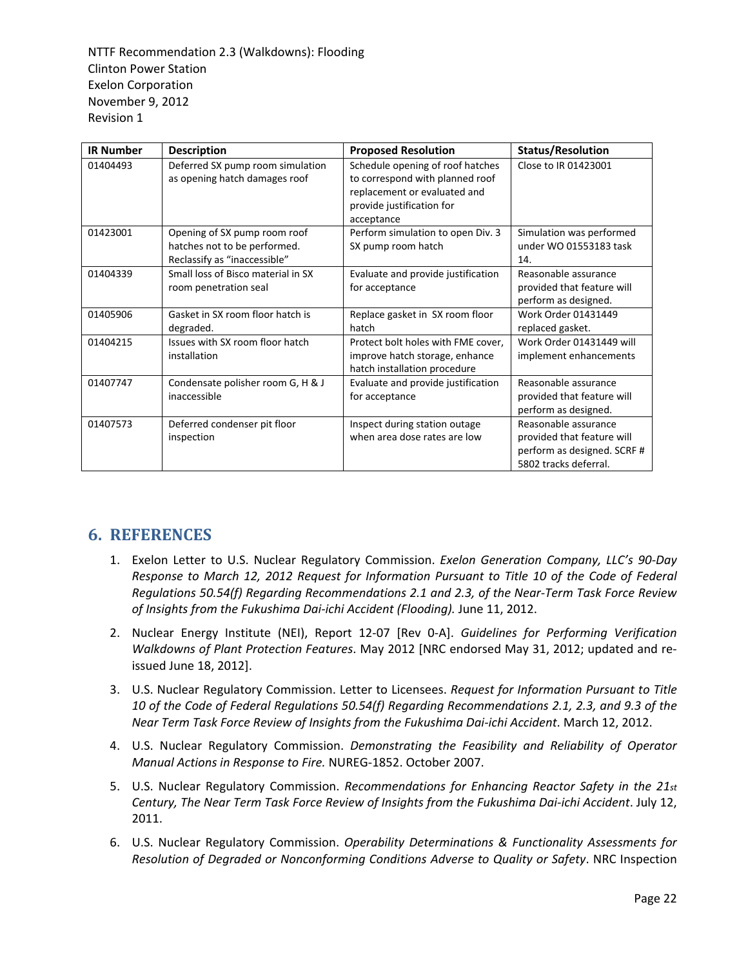| <b>IR Number</b> | <b>Description</b>                                                                           | <b>Proposed Resolution</b>                                                                                                                     | <b>Status/Resolution</b>                                                                                   |
|------------------|----------------------------------------------------------------------------------------------|------------------------------------------------------------------------------------------------------------------------------------------------|------------------------------------------------------------------------------------------------------------|
| 01404493         | Deferred SX pump room simulation<br>as opening hatch damages roof                            | Schedule opening of roof hatches<br>to correspond with planned roof<br>replacement or evaluated and<br>provide justification for<br>acceptance | Close to IR 01423001                                                                                       |
| 01423001         | Opening of SX pump room roof<br>hatches not to be performed.<br>Reclassify as "inaccessible" | Perform simulation to open Div. 3<br>SX pump room hatch                                                                                        | Simulation was performed<br>under WO 01553183 task<br>14.                                                  |
| 01404339         | Small loss of Bisco material in SX<br>room penetration seal                                  | Evaluate and provide justification<br>for acceptance                                                                                           | Reasonable assurance<br>provided that feature will<br>perform as designed.                                 |
| 01405906         | Gasket in SX room floor hatch is<br>degraded.                                                | Replace gasket in SX room floor<br>hatch                                                                                                       | Work Order 01431449<br>replaced gasket.                                                                    |
| 01404215         | Issues with SX room floor hatch<br>installation                                              | Protect bolt holes with FME cover,<br>improve hatch storage, enhance<br>hatch installation procedure                                           | Work Order 01431449 will<br>implement enhancements                                                         |
| 01407747         | Condensate polisher room G, H & J<br>inaccessible                                            | Evaluate and provide justification<br>for acceptance                                                                                           | Reasonable assurance<br>provided that feature will<br>perform as designed.                                 |
| 01407573         | Deferred condenser pit floor<br>inspection                                                   | Inspect during station outage<br>when area dose rates are low                                                                                  | Reasonable assurance<br>provided that feature will<br>perform as designed. SCRF #<br>5802 tracks deferral. |

# **6. REFERENCES**

- 1. Exelon Letter to U.S. Nuclear Regulatory Commission. *Exelon Generation Company, LLC's 90‐Day Response to March 12, 2012 Request for Information Pursuant to Title 10 of the Code of Federal Regulations 50.54(f) Regarding Recommendations 2.1 and 2.3, of the Near‐Term Task Force Review of Insights from the Fukushima Dai‐ichi Accident (Flooding).* June 11, 2012.
- 2. Nuclear Energy Institute (NEI), Report 12‐07 [Rev 0‐A]. *Guidelines for Performing Verification Walkdowns of Plant Protection Features*. May 2012 [NRC endorsed May 31, 2012; updated and re‐ issued June 18, 2012].
- 3. U.S. Nuclear Regulatory Commission. Letter to Licensees. *Request for Information Pursuant to Title 10 of the Code of Federal Regulations 50.54(f) Regarding Recommendations 2.1, 2.3, and 9.3 of the Near Term Task Force Review of Insights from the Fukushima Dai‐ichi Accident*. March 12, 2012.
- 4. U.S. Nuclear Regulatory Commission. *Demonstrating the Feasibility and Reliability of Operator Manual Actions in Response to Fire.* NUREG‐1852. October 2007.
- 5. U.S. Nuclear Regulatory Commission. *Recommendations for Enhancing Reactor Safety in the 21st Century, The Near Term Task Force Review of Insights from the Fukushima Dai‐ichi Accident*. July 12, 2011.
- 6. U.S. Nuclear Regulatory Commission. *Operability Determinations & Functionality Assessments for Resolution of Degraded or Nonconforming Conditions Adverse to Quality or Safety*. NRC Inspection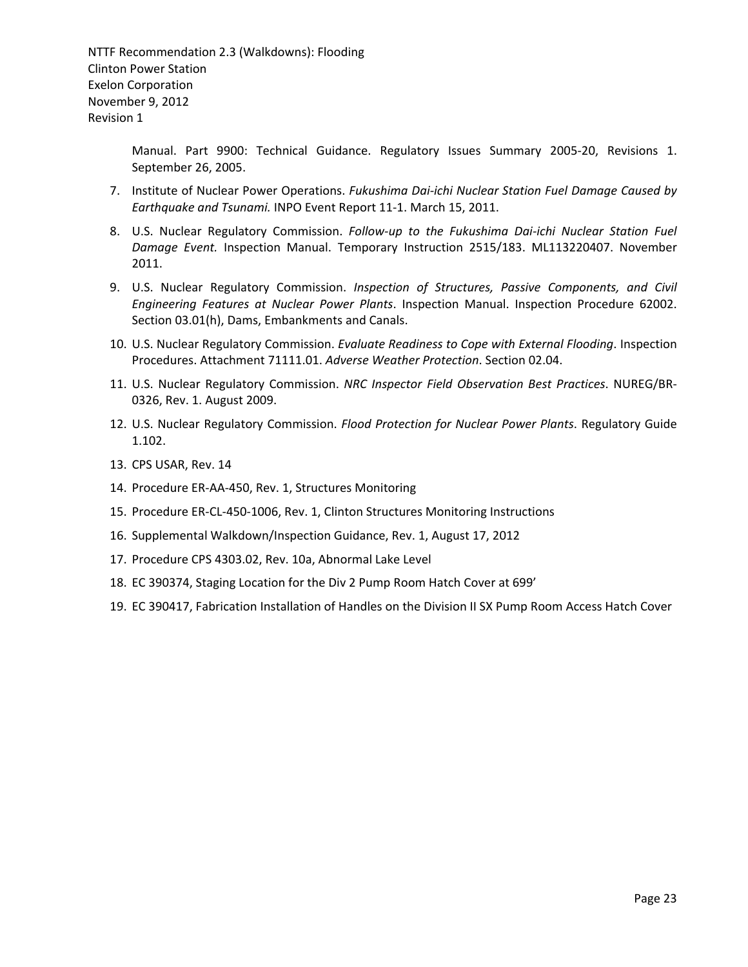> Manual. Part 9900: Technical Guidance. Regulatory Issues Summary 2005‐20, Revisions 1. September 26, 2005.

- 7. Institute of Nuclear Power Operations. *Fukushima Dai‐ichi Nuclear Station Fuel Damage Caused by Earthquake and Tsunami.* INPO Event Report 11‐1. March 15, 2011.
- 8. U.S. Nuclear Regulatory Commission. *Follow‐up to the Fukushima Dai‐ichi Nuclear Station Fuel Damage Event.* Inspection Manual. Temporary Instruction 2515/183. ML113220407. November 2011.
- 9. U.S. Nuclear Regulatory Commission. *Inspection of Structures, Passive Components, and Civil Engineering Features at Nuclear Power Plants*. Inspection Manual. Inspection Procedure 62002. Section 03.01(h), Dams, Embankments and Canals.
- 10. U.S. Nuclear Regulatory Commission. *Evaluate Readiness to Cope with External Flooding*. Inspection Procedures. Attachment 71111.01. *Adverse Weather Protection*. Section 02.04.
- 11. U.S. Nuclear Regulatory Commission. *NRC Inspector Field Observation Best Practices*. NUREG/BR‐ 0326, Rev. 1. August 2009.
- 12. U.S. Nuclear Regulatory Commission. *Flood Protection for Nuclear Power Plants*. Regulatory Guide 1.102.
- 13. CPS USAR, Rev. 14
- 14. Procedure ER‐AA‐450, Rev. 1, Structures Monitoring
- 15. Procedure ER‐CL‐450‐1006, Rev. 1, Clinton Structures Monitoring Instructions
- 16. Supplemental Walkdown/Inspection Guidance, Rev. 1, August 17, 2012
- 17. Procedure CPS 4303.02, Rev. 10a, Abnormal Lake Level
- 18. EC 390374, Staging Location for the Div 2 Pump Room Hatch Cover at 699'
- 19. EC 390417, Fabrication Installation of Handles on the Division II SX Pump Room Access Hatch Cover